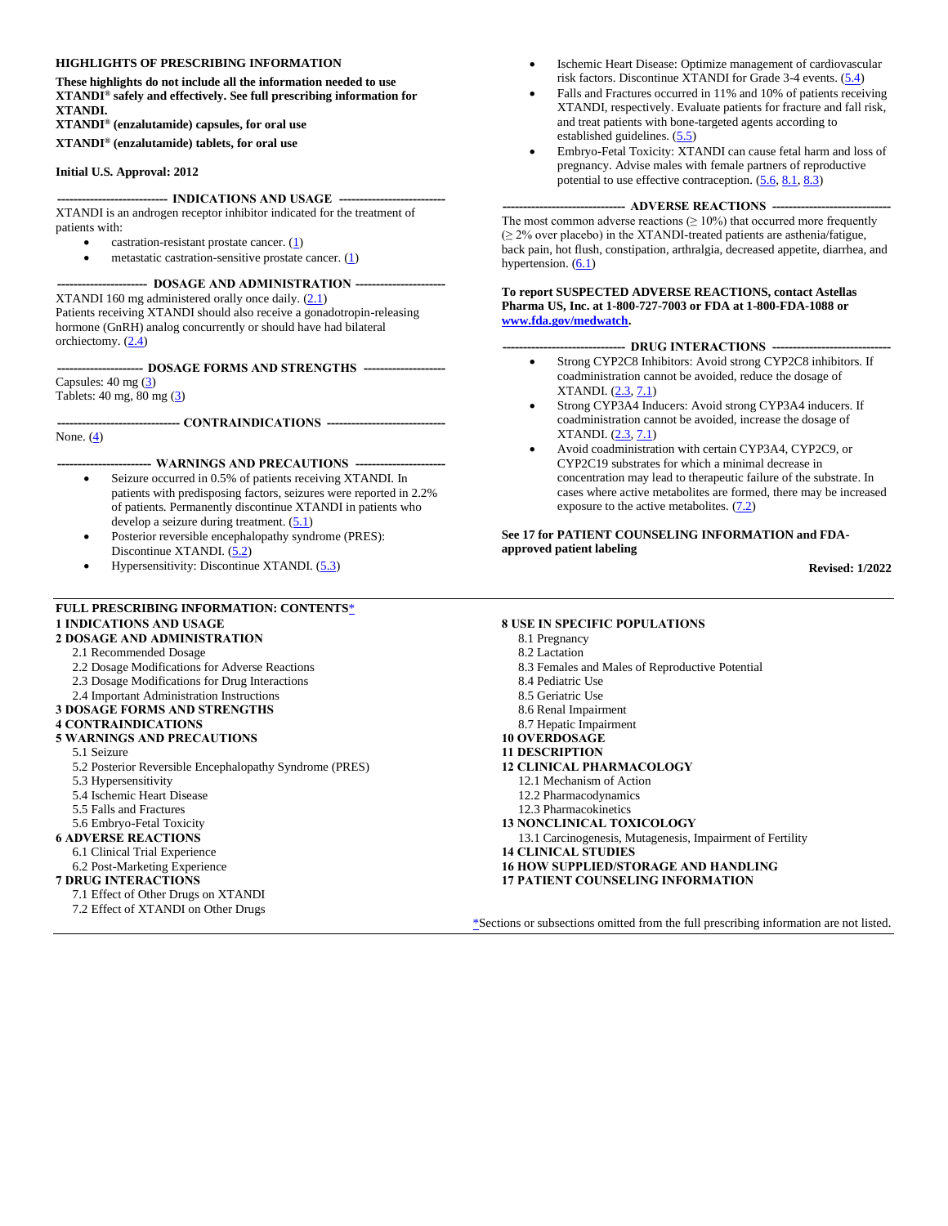#### **HIGHLIGHTS OF PRESCRIBING INFORMATION**

**These highlights do not include all the information needed to use XTANDI® safely and effectively. See full prescribing information for XTANDI.**

**XTANDI® (enzalutamide) capsules, for oral use XTANDI® (enzalutamide) tablets, for oral use**

#### **Initial U.S. Approval: 2012**

--- **INDICATIONS AND USAGE** ---

XTANDI is an androgen receptor inhibitor indicated for the treatment of patients with:

- castration-resistant prostate cancer. [\(1\)](#page-1-0)
	- metastatic castration-sensitive prostate cancer.  $(1)$

#### **---------------------- DOSAGE AND ADMINISTRATION ----------------------**

XTANDI 160 mg administered orally once daily. [\(2.1\)](#page-1-1) Patients receiving XTANDI should also receive a gonadotropin-releasing hormone (GnRH) analog concurrently or should have had bilateral orchiectomy. [\(2.4\)](#page-1-2)

**--------------------- DOSAGE FORMS AND STRENGTHS --------------------** Capsules: 40 mg [\(3\)](#page-1-3)

Tablets: 40 mg, 80 mg [\(3\)](#page-1-3)

**------------------------------ CONTRAINDICATIONS -----------------------------**

#### None. [\(4\)](#page-1-4)

#### **----------------------- WARNINGS AND PRECAUTIONS ----------------------**

- Seizure occurred in 0.5% of patients receiving XTANDI. In patients with predisposing factors, seizures were reported in 2.2% of patients. Permanently discontinue XTANDI in patients who develop a seizure during treatment. [\(5.1\)](#page-2-0)
- Posterior reversible encephalopathy syndrome (PRES): Discontinue XTANDI. [\(5.2\)](#page-2-1)
- Hypersensitivity: Discontinue XTANDI. [\(5.3\)](#page-2-2)

#### <span id="page-0-1"></span>**FULL PRESCRIBING INFORMATION: CONTENTS**[\\*](#page-0-0)

#### **[1 INDICATIONS AND USAGE](#page-1-0)**

#### **[2 DOSAGE AND ADMINISTRATION](#page-1-6)**

- [2.1 Recommended Dosage](#page-1-1)
- [2.2 Dosage Modifications for Adverse Reactions](#page-1-7)
- 2.3 Dosage Modifications for Dru[g Interactions](#page-1-5)
- 2.4 [Important Administration Instructions](#page-1-8)
- **[3 DOSAGE FORMS AND STRENGTHS](#page-1-3)**

#### **[4 CONTRAINDICATIONS](#page-1-4)**

**[5 WARNINGS AND PRECAUTIONS](#page-2-5)**

#### [5.1 Seizure](#page-2-0)

- [5.2 Posterior Reversible Encephalopathy Syndrome \(PRES\)](#page-2-1)
- [5.3 Hypersensitivity](#page-2-2)
- [5.4 Ischemic Heart Disease](#page-2-3)
- [5.5 Falls and Fractures](#page-2-4)
- [5.6 Embryo-Fetal Toxicity](#page-3-0)
- **[6 ADVERSE REACTIONS](#page-3-2)**
	- [6.1 Clinical Trial Experience](#page-3-1)
	- [6.2 Post-Marketing Experience](#page-9-1)

#### **[7 DRUG INTERACTIONS](#page-9-2)**

- 7.1 Effect of Other Drugs on XTANDI
- <span id="page-0-0"></span>[7.2 Effect of XTANDI on Other Drugs](#page-9-3)
- Ischemic Heart Disease: Optimize management of cardiovascular risk factors. Discontinue XTANDI for Grade 3-4 events. [\(5.4\)](#page-2-3)
- Falls and Fractures occurred in 11% and 10% of patients receiving XTANDI, respectively. Evaluate patients for fracture and fall risk, and treat patients with bone-targeted agents according to established guidelines. [\(5.5\)](#page-2-4)
- Embryo-Fetal Toxicity: XTANDI can cause fetal harm and loss of pregnancy. Advise males with female partners of reproductive potential to use effective contraception. [\(5.6,](#page-3-0) [8.1,](#page-10-0) [8.3\)](#page-11-0)

#### **------------------------------ ADVERSE REACTIONS -----------------------------**

The most common adverse reactions  $(≥ 10%)$  that occurred more frequently  $(≥ 2%$  over placebo) in the XTANDI-treated patients are asthenia/fatigue, back pain, hot flush, constipation, arthralgia, decreased appetite, diarrhea, and hypertension. [\(6.1\)](#page-3-1)

#### **To report SUSPECTED ADVERSE REACTIONS, contact Astellas Pharma US, Inc. at 1-800-727-7003 or FDA at 1-800-FDA-1088 or [www.fda.gov/medwatch.](http://www.fda.gov/medwatch#_Ref)**

#### -- DRUG INTERACTIONS ---

- Strong CYP2C8 Inhibitors: Avoid strong CYP2C8 inhibitors. If coadministration cannot be avoided, reduce the dosage of XTANDI. [\(2.3,](#page-1-5) [7.1\)](#page-9-0)
- Strong CYP3A4 Inducers: Avoid strong CYP3A4 inducers. If coadministration cannot be avoided, increase the dosage of XTANDI. [\(2.3,](#page-1-5) [7.1\)](#page-9-0)
- Avoid coadministration with certain CYP3A4, CYP2C9, or CYP2C19 substrates for which a minimal decrease in concentration may lead to therapeutic failure of the substrate. In cases where active metabolites are formed, there may be increased exposure to the active metabolites. [\(7.2\)](#page-10-1)

#### **See 17 for PATIENT COUNSELING INFORMATION and FDAapproved patient labeling**

**Revised: 1/2022**

#### **[8 USE IN SPECIFIC POPULATIONS](#page-10-2)**

- [8.1 Pregnancy](#page-10-0)
- [8.2 Lactation](#page-10-3)
- [8.3 Females and Males of Reproductive Potential](#page-11-0)
- [8.4 Pediatric Use](#page-11-1)
- [8.5 Geriatric Use](#page-11-2)
- [8.6 Renal Impairment](#page-11-3)
- [8.7 Hepatic Impairment](#page-11-4)
- **[10 OVERDOSAGE](#page-11-5)**
- **[11 DESCRIPTION](#page-11-6)**
- **[12 CLINICAL PHARMACOLOGY](#page-12-0)**
	- [12.1 Mechanism of Action](#page-12-1)
	- [12.2 Pharmacodynamics](#page-12-2)
	- [12.3 Pharmacokinetics](#page-12-3)
- **[13 NONCLINICAL TOXICOLOGY](#page-14-0)**
- [13.1 Carcinogenesis, Mutagenesis, Impairment of Fertility](#page-14-1)
- **[14 CLINICAL STUDIES](#page-15-0)**
- **[16 HOW SUPPLIED/STORAGE AND HANDLING](#page-22-0)**
- **[17 PATIENT COUNSELING INFORMATION](#page-22-1)**

[\\*S](#page-0-1)ections or subsections omitted from the full prescribing information are not listed.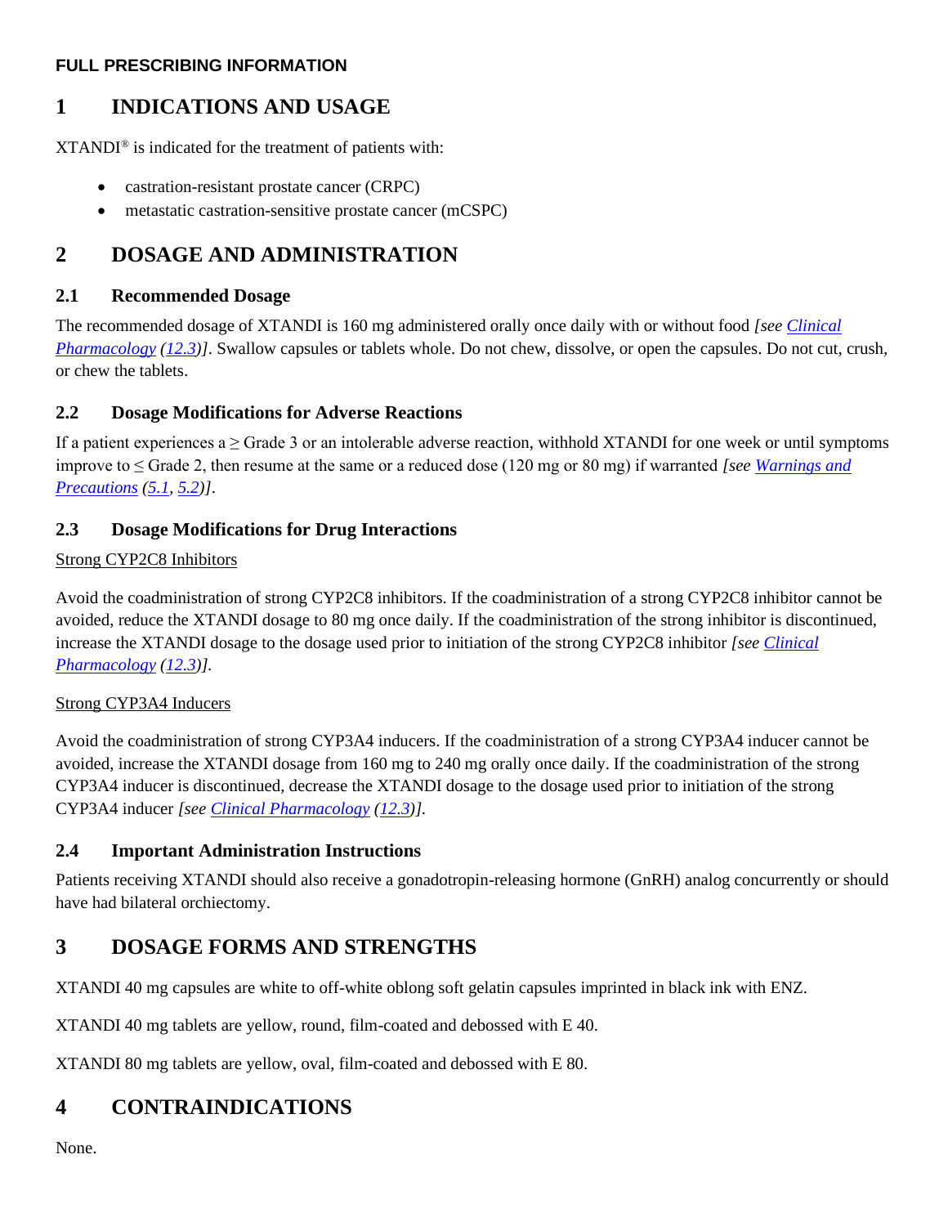### **FULL PRESCRIBING INFORMATION**

# <span id="page-1-0"></span>**1 INDICATIONS AND USAGE**

XTANDI® is indicated for the treatment of patients with:

- castration-resistant prostate cancer (CRPC)
- metastatic castration-sensitive prostate cancer (mCSPC)

# <span id="page-1-6"></span>**2 DOSAGE AND ADMINISTRATION**

## <span id="page-1-1"></span>**2.1 Recommended Dosage**

The recommended dosage of XTANDI is 160 mg administered orally once daily with or without food *[see [Clinical](#page-12-0)  [Pharmacology](#page-12-0) [\(12.3\)](#page-12-3)]*. Swallow capsules or tablets whole. Do not chew, dissolve, or open the capsules. Do not cut, crush, or chew the tablets.

# <span id="page-1-7"></span>**2.2 Dosage Modifications for Adverse Reactions**

If a patient experiences  $a \geq G$ rade 3 or an intolerable adverse reaction, withhold XTANDI for one week or until symptoms improve to ≤ Grade 2, then resume at the same or a reduced dose (120 mg or 80 mg) if warranted *[se[e Warnings](#page-2-5) and [Precautions](#page-2-5) [\(5.1,](#page-2-0) [5.2\)](#page-2-1)]*.

# <span id="page-1-5"></span>**2.3 Dosage Modifications for Drug Interactions**

### Strong CYP2C8 Inhibitors

Avoid the coadministration of strong CYP2C8 inhibitors. If the coadministration of a strong CYP2C8 inhibitor cannot be avoided, reduce the XTANDI dosage to 80 mg once daily. If the coadministration of the strong inhibitor is discontinued, increase the XTANDI dosage to the dosage used prior to initiation of the strong CYP2C8 inhibitor *[see [Clinical](#page-12-0)  [Pharmacology](#page-12-0) [\(12.3\)](#page-12-3)].*

### Strong CYP3A4 Inducers

Avoid the coadministration of strong CYP3A4 inducers. If the coadministration of a strong CYP3A4 inducer cannot be avoided, increase the XTANDI dosage from 160 mg to 240 mg orally once daily. If the coadministration of the strong CYP3A4 inducer is discontinued, decrease the XTANDI dosage to the dosage used prior to initiation of the strong CYP3A4 inducer *[see [Clinical Pharmacology](#page-12-0) [\(12.3\)](#page-12-3)].*

## <span id="page-1-8"></span><span id="page-1-2"></span>**2.4 Important Administration Instructions**

Patients receiving XTANDI should also receive a gonadotropin-releasing hormone (GnRH) analog concurrently or should have had bilateral orchiectomy.

# <span id="page-1-3"></span>**3 DOSAGE FORMS AND STRENGTHS**

XTANDI 40 mg capsules are white to off-white oblong soft gelatin capsules imprinted in black ink with ENZ.

XTANDI 40 mg tablets are yellow, round, film-coated and debossed with E 40.

XTANDI 80 mg tablets are yellow, oval, film-coated and debossed with E 80.

# <span id="page-1-4"></span>**4 CONTRAINDICATIONS**

None.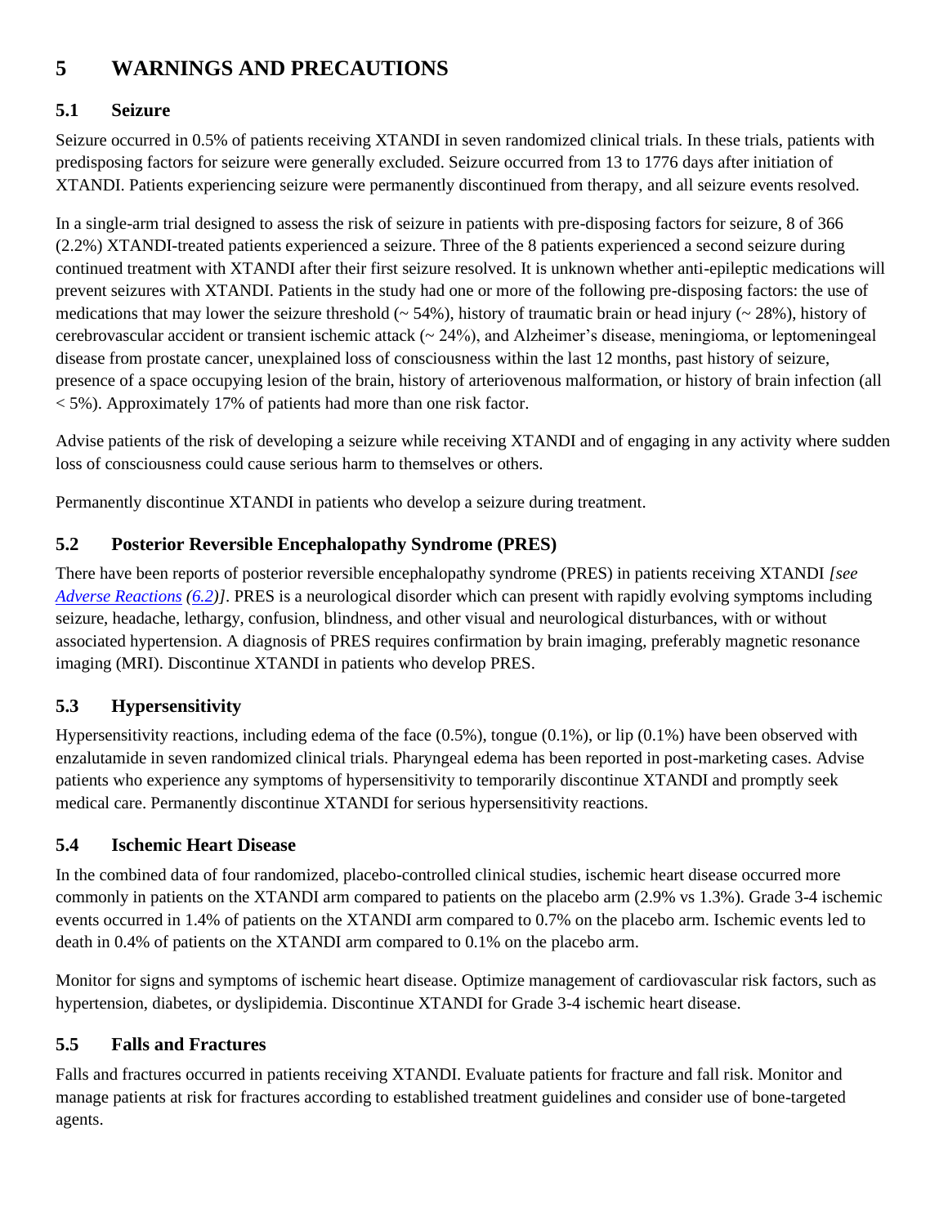# <span id="page-2-5"></span>**5 WARNINGS AND PRECAUTIONS**

# <span id="page-2-0"></span>**5.1 Seizure**

Seizure occurred in 0.5% of patients receiving XTANDI in seven randomized clinical trials. In these trials, patients with predisposing factors for seizure were generally excluded. Seizure occurred from 13 to 1776 days after initiation of XTANDI. Patients experiencing seizure were permanently discontinued from therapy, and all seizure events resolved.

In a single-arm trial designed to assess the risk of seizure in patients with pre-disposing factors for seizure, 8 of 366 (2.2%) XTANDI-treated patients experienced a seizure. Three of the 8 patients experienced a second seizure during continued treatment with XTANDI after their first seizure resolved. It is unknown whether anti-epileptic medications will prevent seizures with XTANDI. Patients in the study had one or more of the following pre-disposing factors: the use of medications that may lower the seizure threshold ( $\sim$  54%), history of traumatic brain or head injury ( $\sim$  28%), history of cerebrovascular accident or transient ischemic attack (~ 24%), and Alzheimer's disease, meningioma, or leptomeningeal disease from prostate cancer, unexplained loss of consciousness within the last 12 months, past history of seizure, presence of a space occupying lesion of the brain, history of arteriovenous malformation, or history of brain infection (all  $\langle 5\%$ ). Approximately 17% of patients had more than one risk factor.

Advise patients of the risk of developing a seizure while receiving XTANDI and of engaging in any activity where sudden loss of consciousness could cause serious harm to themselves or others.

Permanently discontinue XTANDI in patients who develop a seizure during treatment.

# <span id="page-2-1"></span>**5.2 Posterior Reversible Encephalopathy Syndrome (PRES)**

There have been reports of posterior reversible encephalopathy syndrome (PRES) in patients receiving XTANDI *[see [Adverse Reactions](#page-3-2) [\(6.2\)](#page-9-1)]*. PRES is a neurological disorder which can present with rapidly evolving symptoms including seizure, headache, lethargy, confusion, blindness, and other visual and neurological disturbances, with or without associated hypertension. A diagnosis of PRES requires confirmation by brain imaging, preferably magnetic resonance imaging (MRI). Discontinue XTANDI in patients who develop PRES.

# <span id="page-2-2"></span>**5.3 Hypersensitivity**

Hypersensitivity reactions, including edema of the face (0.5%), tongue (0.1%), or lip (0.1%) have been observed with enzalutamide in seven randomized clinical trials. Pharyngeal edema has been reported in post-marketing cases. Advise patients who experience any symptoms of hypersensitivity to temporarily discontinue XTANDI and promptly seek medical care. Permanently discontinue XTANDI for serious hypersensitivity reactions.

# <span id="page-2-3"></span>**5.4 Ischemic Heart Disease**

In the combined data of four randomized, placebo-controlled clinical studies, ischemic heart disease occurred more commonly in patients on the XTANDI arm compared to patients on the placebo arm (2.9% vs 1.3%). Grade 3-4 ischemic events occurred in 1.4% of patients on the XTANDI arm compared to 0.7% on the placebo arm. Ischemic events led to death in 0.4% of patients on the XTANDI arm compared to 0.1% on the placebo arm.

Monitor for signs and symptoms of ischemic heart disease. Optimize management of cardiovascular risk factors, such as hypertension, diabetes, or dyslipidemia. Discontinue XTANDI for Grade 3-4 ischemic heart disease.

# <span id="page-2-4"></span>**5.5 Falls and Fractures**

Falls and fractures occurred in patients receiving XTANDI. Evaluate patients for fracture and fall risk. Monitor and manage patients at risk for fractures according to established treatment guidelines and consider use of bone-targeted agents.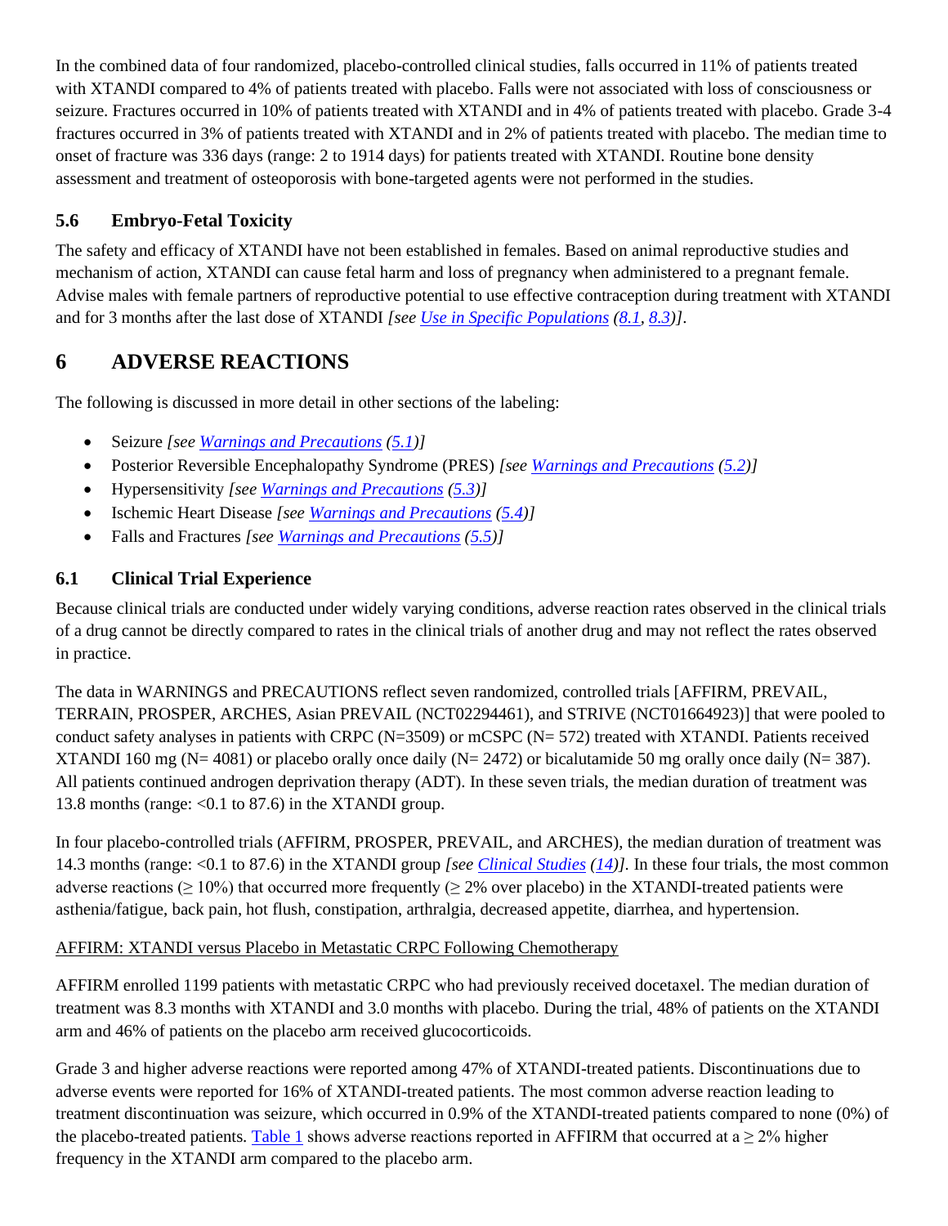In the combined data of four randomized, placebo-controlled clinical studies, falls occurred in 11% of patients treated with XTANDI compared to 4% of patients treated with placebo. Falls were not associated with loss of consciousness or seizure. Fractures occurred in 10% of patients treated with XTANDI and in 4% of patients treated with placebo. Grade 3-4 fractures occurred in 3% of patients treated with XTANDI and in 2% of patients treated with placebo. The median time to onset of fracture was 336 days (range: 2 to 1914 days) for patients treated with XTANDI. Routine bone density assessment and treatment of osteoporosis with bone-targeted agents were not performed in the studies.

# <span id="page-3-0"></span>**5.6 Embryo-Fetal Toxicity**

The safety and efficacy of XTANDI have not been established in females. Based on animal reproductive studies and mechanism of action, XTANDI can cause fetal harm and loss of pregnancy when administered to a pregnant female. Advise males with female partners of reproductive potential to use effective contraception during treatment with XTANDI and for 3 months after the last dose of XTANDI *[see [Use in Specific Populations](#page-10-2) [\(8.1,](#page-10-0) [8.3\)](#page-11-0)]*.

# <span id="page-3-2"></span>**6 ADVERSE REACTIONS**

The following is discussed in more detail in other sections of the labeling:

- Seizure *[see [Warnings and Precautions](#page-2-5) [\(5.1\)](#page-2-0)]*
- Posterior Reversible Encephalopathy Syndrome (PRES) *[see [Warnings and Precautions](#page-2-5) [\(5.2\)](#page-2-1)]*
- Hypersensitivity *[see [Warnings and Precautions](#page-2-5) [\(5.3\)](#page-2-2)]*
- Ischemic Heart Disease *[see [Warnings and Precautions](#page-2-5) [\(5.4\)](#page-2-3)]*
- Falls and Fractures *[see [Warnings and Precautions](#page-2-5) [\(5.5\)](#page-2-4)]*

# <span id="page-3-1"></span>**6.1 Clinical Trial Experience**

Because clinical trials are conducted under widely varying conditions, adverse reaction rates observed in the clinical trials of a drug cannot be directly compared to rates in the clinical trials of another drug and may not reflect the rates observed in practice.

The data in WARNINGS and PRECAUTIONS reflect seven randomized, controlled trials [AFFIRM, PREVAIL, TERRAIN, PROSPER, ARCHES, Asian PREVAIL (NCT02294461), and STRIVE (NCT01664923)] that were pooled to conduct safety analyses in patients with CRPC (N=3509) or mCSPC (N= 572) treated with XTANDI. Patients received XTANDI 160 mg (N= 4081) or placebo orally once daily (N= 2472) or bicalutamide 50 mg orally once daily (N= 387). All patients continued androgen deprivation therapy (ADT). In these seven trials, the median duration of treatment was 13.8 months (range:  $< 0.1$  to 87.6) in the XTANDI group.

In four placebo-controlled trials (AFFIRM, PROSPER, PREVAIL, and ARCHES), the median duration of treatment was 14.3 months (range: <0.1 to 87.6) in the XTANDI group *[see [Clinical Studies](#page-15-0) [\(14\)](#page-15-0)].* In these four trials, the most common adverse reactions ( $\geq 10\%$ ) that occurred more frequently ( $\geq 2\%$  over placebo) in the XTANDI-treated patients were asthenia/fatigue, back pain, hot flush, constipation, arthralgia, decreased appetite, diarrhea, and hypertension.

## AFFIRM: XTANDI versus Placebo in Metastatic CRPC Following Chemotherapy

AFFIRM enrolled 1199 patients with metastatic CRPC who had previously received docetaxel. The median duration of treatment was 8.3 months with XTANDI and 3.0 months with placebo. During the trial, 48% of patients on the XTANDI arm and 46% of patients on the placebo arm received glucocorticoids.

Grade 3 and higher adverse reactions were reported among 47% of XTANDI-treated patients. Discontinuations due to adverse events were reported for 16% of XTANDI-treated patients. The most common adverse reaction leading to treatment discontinuation was seizure, which occurred in 0.9% of the XTANDI-treated patients compared to none (0%) of the placebo-treated patients. [Table 1](#page-4-0) shows adverse reactions reported in AFFIRM that occurred at  $a \ge 2\%$  higher frequency in the XTANDI arm compared to the placebo arm.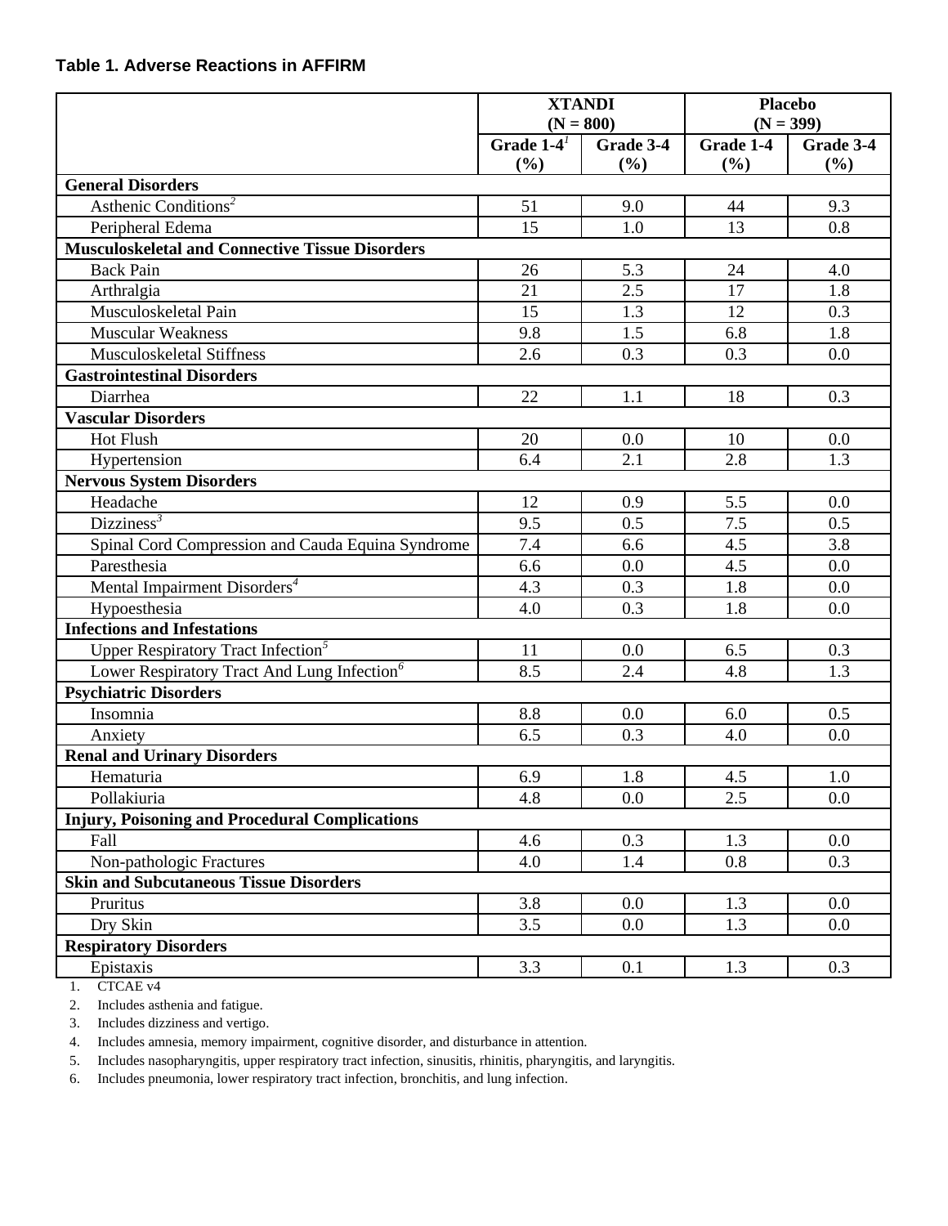### <span id="page-4-0"></span>**Table 1. Adverse Reactions in AFFIRM**

|                                                         | <b>XTANDI</b> |             | <b>Placebo</b> |           |
|---------------------------------------------------------|---------------|-------------|----------------|-----------|
|                                                         |               | $(N = 800)$ | $(N = 399)$    |           |
|                                                         | Grade $1-4^1$ | Grade 3-4   | Grade 1-4      | Grade 3-4 |
|                                                         | (%)           | (%)         | (%)            | (%)       |
| <b>General Disorders</b>                                |               |             |                |           |
| Asthenic Conditions <sup>2</sup>                        | 51            | 9.0         | 44             | 9.3       |
| Peripheral Edema                                        | 15            | 1.0         | 13             | 0.8       |
| <b>Musculoskeletal and Connective Tissue Disorders</b>  |               |             |                |           |
| <b>Back Pain</b>                                        | 26            | 5.3         | 24             | 4.0       |
| Arthralgia                                              | 21            | 2.5         | 17             | 1.8       |
| Musculoskeletal Pain                                    | 15            | 1.3         | 12             | 0.3       |
| <b>Muscular Weakness</b>                                | 9.8           | 1.5         | 6.8            | 1.8       |
| Musculoskeletal Stiffness                               | 2.6           | 0.3         | 0.3            | 0.0       |
| <b>Gastrointestinal Disorders</b>                       |               |             |                |           |
| Diarrhea                                                | 22            | 1.1         | 18             | 0.3       |
| <b>Vascular Disorders</b>                               |               |             |                |           |
| <b>Hot Flush</b>                                        | 20            | 0.0         | 10             | 0.0       |
| Hypertension                                            | 6.4           | 2.1         | 2.8            | 1.3       |
| <b>Nervous System Disorders</b>                         |               |             |                |           |
| Headache                                                | 12            | 0.9         | 5.5            | 0.0       |
| Dizziness <sup>3</sup>                                  | 9.5           | 0.5         | 7.5            | 0.5       |
| Spinal Cord Compression and Cauda Equina Syndrome       | 7.4           | 6.6         | 4.5            | 3.8       |
| Paresthesia                                             | 6.6           | 0.0         | 4.5            | 0.0       |
| Mental Impairment Disorders <sup>4</sup>                | 4.3           | 0.3         | 1.8            | 0.0       |
| Hypoesthesia                                            | 4.0           | 0.3         | 1.8            | 0.0       |
| <b>Infections and Infestations</b>                      |               |             |                |           |
| Upper Respiratory Tract Infection <sup>5</sup>          | 11            | 0.0         | 6.5            | 0.3       |
| Lower Respiratory Tract And Lung Infection <sup>6</sup> | 8.5           | 2.4         | 4.8            | 1.3       |
| <b>Psychiatric Disorders</b>                            |               |             |                |           |
| Insomnia                                                | 8.8           | 0.0         | 6.0            | 0.5       |
| Anxiety                                                 | 6.5           | 0.3         | 4.0            | 0.0       |
| <b>Renal and Urinary Disorders</b>                      |               |             |                |           |
| Hematuria                                               | 6.9           | 1.8         | 4.5            | 1.0       |
| Pollakiuria                                             | 4.8           | 0.0         | 2.5            | 0.0       |
| <b>Injury, Poisoning and Procedural Complications</b>   |               |             |                |           |
| Fall                                                    | 4.6           | 0.3         | 1.3            | 0.0       |
| Non-pathologic Fractures                                | 4.0           | 1.4         | 0.8            | 0.3       |
| <b>Skin and Subcutaneous Tissue Disorders</b>           |               |             |                |           |
| Pruritus                                                | 3.8           | 0.0         | 1.3            | 0.0       |
| Dry Skin                                                | 3.5           | 0.0         | 1.3            | 0.0       |
| <b>Respiratory Disorders</b>                            |               |             |                |           |
| Epistaxis                                               | 3.3           | 0.1         | 1.3            | 0.3       |

<span id="page-4-1"></span>1. CTCAE v4

<span id="page-4-2"></span>2. Includes asthenia and fatigue.

<span id="page-4-3"></span>3. Includes dizziness and vertigo.

<span id="page-4-4"></span>4. Includes amnesia, memory impairment, cognitive disorder, and disturbance in attention.

<span id="page-4-5"></span>5. Includes nasopharyngitis, upper respiratory tract infection, sinusitis, rhinitis, pharyngitis, and laryngitis.

<span id="page-4-6"></span>6. Includes pneumonia, lower respiratory tract infection, bronchitis, and lung infection.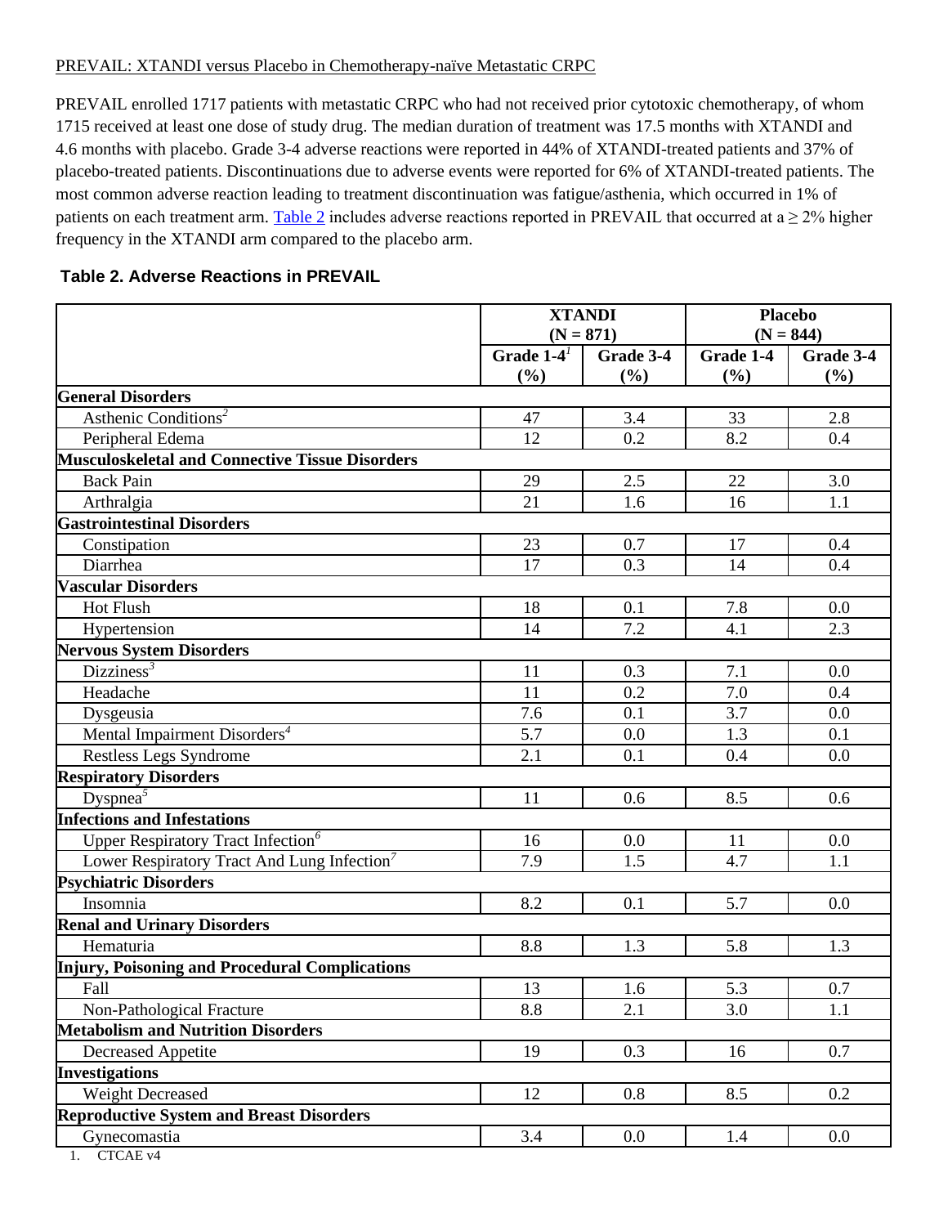### PREVAIL: XTANDI versus Placebo in Chemotherapy-naïve Metastatic CRPC

PREVAIL enrolled 1717 patients with metastatic CRPC who had not received prior cytotoxic chemotherapy, of whom 1715 received at least one dose of study drug. The median duration of treatment was 17.5 months with XTANDI and 4.6 months with placebo. Grade 3-4 adverse reactions were reported in 44% of XTANDI-treated patients and 37% of placebo-treated patients. Discontinuations due to adverse events were reported for 6% of XTANDI-treated patients. The most common adverse reaction leading to treatment discontinuation was fatigue/asthenia, which occurred in 1% of patients on each treatment arm. [Table 2](#page-5-0) includes adverse reactions reported in PREVAIL that occurred at  $a \ge 2\%$  higher frequency in the XTANDI arm compared to the placebo arm.

### <span id="page-5-0"></span>**Table 2. Adverse Reactions in PREVAIL**

|                                                         | <b>XTANDI</b>              |     | <b>Placebo</b> |             |
|---------------------------------------------------------|----------------------------|-----|----------------|-------------|
|                                                         | $(N = 871)$                |     |                | $(N = 844)$ |
|                                                         | Grade $1-4^1$<br>Grade 3-4 |     | Grade 1-4      | Grade 3-4   |
|                                                         | (%)                        | (%) | (%)            | (%)         |
| <b>General Disorders</b>                                |                            |     |                |             |
| Asthenic Conditions <sup>2</sup>                        | 47                         | 3.4 | 33             | 2.8         |
| Peripheral Edema                                        | 12                         | 0.2 | 8.2            | 0.4         |
| <b>Musculoskeletal and Connective Tissue Disorders</b>  |                            |     |                |             |
| <b>Back Pain</b>                                        | 29                         | 2.5 | 22             | 3.0         |
| Arthralgia                                              | 21                         | 1.6 | 16             | 1.1         |
| <b>Gastrointestinal Disorders</b>                       |                            |     |                |             |
| Constipation                                            | 23                         | 0.7 | 17             | 0.4         |
| Diarrhea                                                | 17                         | 0.3 | 14             | 0.4         |
| <b>Vascular Disorders</b>                               |                            |     |                |             |
| <b>Hot Flush</b>                                        | 18                         | 0.1 | 7.8            | 0.0         |
| Hypertension                                            | 14                         | 7.2 | 4.1            | 2.3         |
| <b>Nervous System Disorders</b>                         |                            |     |                |             |
| Dizziness <sup>3</sup>                                  | 11                         | 0.3 | 7.1            | 0.0         |
| Headache                                                | 11                         | 0.2 | 7.0            | 0.4         |
| Dysgeusia                                               | 7.6                        | 0.1 | 3.7            | 0.0         |
| Mental Impairment Disorders <sup>4</sup>                | 5.7                        | 0.0 | 1.3            | 0.1         |
| Restless Legs Syndrome                                  | 2.1                        | 0.1 | 0.4            | 0.0         |
| <b>Respiratory Disorders</b>                            |                            |     |                |             |
| Dyspnea $\overline{3}$                                  | 11                         | 0.6 | 8.5            | 0.6         |
| <b>Infections and Infestations</b>                      |                            |     |                |             |
| Upper Respiratory Tract Infection <sup>6</sup>          | 16                         | 0.0 | 11             | 0.0         |
| Lower Respiratory Tract And Lung Infection <sup>7</sup> | 7.9                        | 1.5 | 4.7            | 1.1         |
| <b>Psychiatric Disorders</b>                            |                            |     |                |             |
| Insomnia                                                | 8.2                        | 0.1 | 5.7            | 0.0         |
| <b>Renal and Urinary Disorders</b>                      |                            |     |                |             |
| Hematuria                                               | 8.8                        | 1.3 | 5.8            | 1.3         |
| Injury, Poisoning and Procedural Complications          |                            |     |                |             |
| Fall                                                    | 13                         | 1.6 | 5.3            | 0.7         |
| Non-Pathological Fracture                               | 8.8                        | 2.1 | 3.0            | 1.1         |
| <b>Metabolism and Nutrition Disorders</b>               |                            |     |                |             |
| <b>Decreased Appetite</b>                               | 19                         | 0.3 | 16             | 0.7         |
| <b>Investigations</b>                                   |                            |     |                |             |
| Weight Decreased                                        | 12                         | 0.8 | 8.5            | 0.2         |
| <b>Reproductive System and Breast Disorders</b>         |                            |     |                |             |
| Gynecomastia<br>CTC1                                    | 3.4                        | 0.0 | 1.4            | 0.0         |

<span id="page-5-1"></span>1. CTCAE v4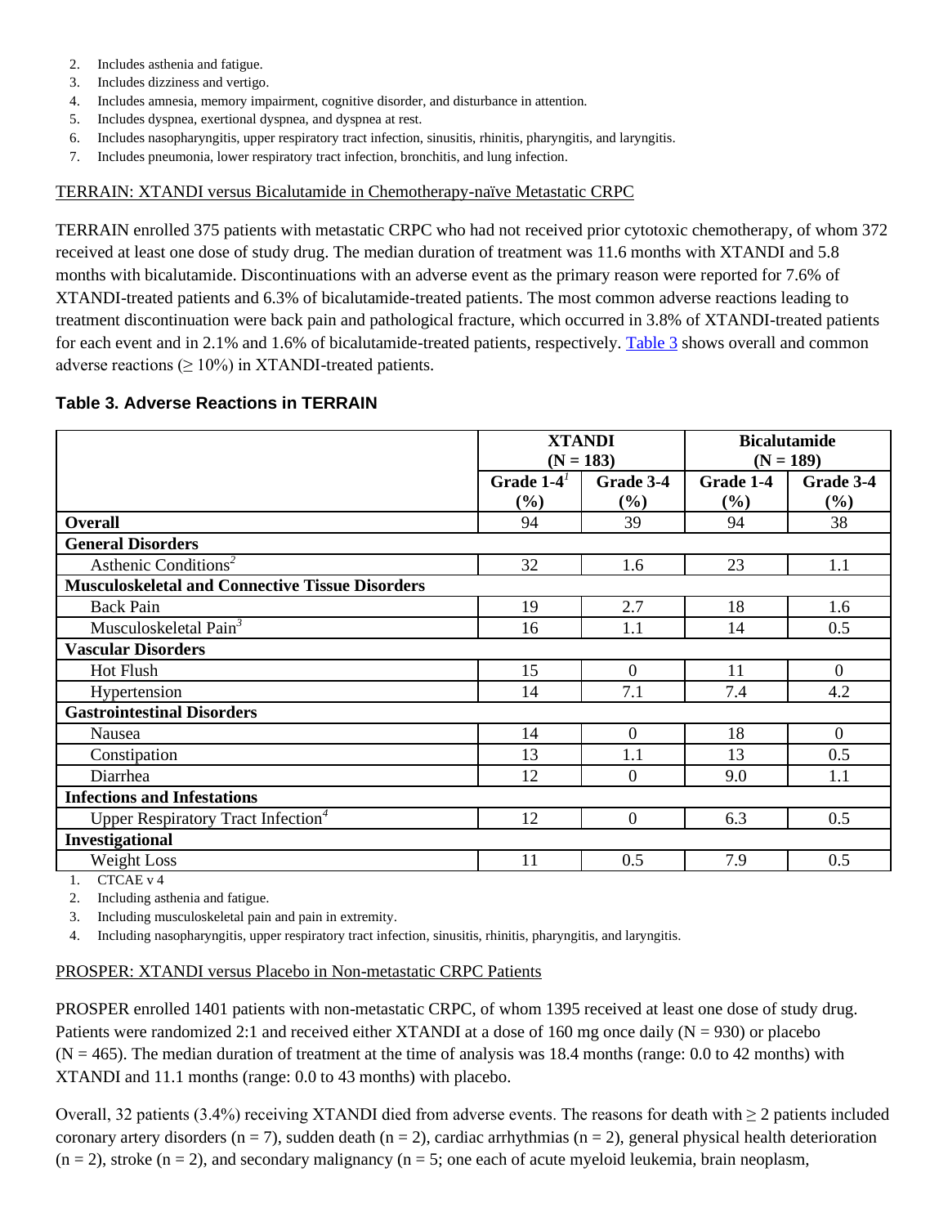- <span id="page-6-0"></span>2. Includes asthenia and fatigue.
- <span id="page-6-1"></span>3. Includes dizziness and vertigo.
- <span id="page-6-2"></span>4. Includes amnesia, memory impairment, cognitive disorder, and disturbance in attention.
- <span id="page-6-3"></span>5. Includes dyspnea, exertional dyspnea, and dyspnea at rest.
- <span id="page-6-4"></span>6. Includes nasopharyngitis, upper respiratory tract infection, sinusitis, rhinitis, pharyngitis, and laryngitis.
- <span id="page-6-5"></span>7. Includes pneumonia, lower respiratory tract infection, bronchitis, and lung infection.

### TERRAIN: XTANDI versus Bicalutamide in Chemotherapy-naïve Metastatic CRPC

TERRAIN enrolled 375 patients with metastatic CRPC who had not received prior cytotoxic chemotherapy, of whom 372 received at least one dose of study drug. The median duration of treatment was 11.6 months with XTANDI and 5.8 months with bicalutamide. Discontinuations with an adverse event as the primary reason were reported for 7.6% of XTANDI-treated patients and 6.3% of bicalutamide-treated patients. The most common adverse reactions leading to treatment discontinuation were back pain and pathological fracture, which occurred in 3.8% of XTANDI-treated patients for each event and in 2.1% and 1.6% of bicalutamide-treated patients, respectively. [Table 3](#page-6-6) shows overall and common adverse reactions ( $\geq 10\%$ ) in XTANDI-treated patients.

### <span id="page-6-6"></span>**Table 3. Adverse Reactions in TERRAIN**

|                                                        | <b>XTANDI</b><br>$(N = 183)$ |                     |                  | <b>Bicalutamide</b><br>$(N = 189)$ |  |
|--------------------------------------------------------|------------------------------|---------------------|------------------|------------------------------------|--|
|                                                        | Grade $1-4^1$<br>(%)         | Grade 3-4<br>$(\%)$ | Grade 1-4<br>(%) | Grade 3-4<br>(%)                   |  |
| <b>Overall</b>                                         | 94                           | 39                  | 94               | 38                                 |  |
| <b>General Disorders</b>                               |                              |                     |                  |                                    |  |
| Asthenic Conditions <sup>2</sup>                       | 32                           | 1.6                 | 23               | 1.1                                |  |
| <b>Musculoskeletal and Connective Tissue Disorders</b> |                              |                     |                  |                                    |  |
| <b>Back Pain</b>                                       | 19                           | 2.7                 | 18               | 1.6                                |  |
| Musculoskeletal Pain <sup>3</sup>                      | 16                           | 1.1                 | 14               | 0.5                                |  |
| <b>Vascular Disorders</b>                              |                              |                     |                  |                                    |  |
| <b>Hot Flush</b>                                       | 15                           | $\overline{0}$      | 11               | $\overline{0}$                     |  |
| Hypertension                                           | 14                           | 7.1                 | 7.4              | 4.2                                |  |
| <b>Gastrointestinal Disorders</b>                      |                              |                     |                  |                                    |  |
| Nausea                                                 | 14                           | $\overline{0}$      | 18               | $\overline{0}$                     |  |
| Constipation                                           | 13                           | 1.1                 | 13               | 0.5                                |  |
| Diarrhea                                               | 12                           | $\Omega$            | 9.0              | 1.1                                |  |
| <b>Infections and Infestations</b>                     |                              |                     |                  |                                    |  |
| Upper Respiratory Tract Infection <sup>4</sup>         | 12                           | $\overline{0}$      | 6.3              | 0.5                                |  |
| Investigational                                        |                              |                     |                  |                                    |  |
| Weight Loss                                            | 11                           | 0.5                 | 7.9              | 0.5                                |  |

<span id="page-6-7"></span>1. CTCAE v 4

<span id="page-6-8"></span>2. Including asthenia and fatigue.

<span id="page-6-9"></span>3. Including musculoskeletal pain and pain in extremity.

<span id="page-6-10"></span>4. Including nasopharyngitis, upper respiratory tract infection, sinusitis, rhinitis, pharyngitis, and laryngitis.

### PROSPER: XTANDI versus Placebo in Non-metastatic CRPC Patients

PROSPER enrolled 1401 patients with non-metastatic CRPC, of whom 1395 received at least one dose of study drug. Patients were randomized 2:1 and received either XTANDI at a dose of 160 mg once daily ( $N = 930$ ) or placebo  $(N = 465)$ . The median duration of treatment at the time of analysis was 18.4 months (range: 0.0 to 42 months) with XTANDI and 11.1 months (range: 0.0 to 43 months) with placebo.

Overall, 32 patients (3.4%) receiving XTANDI died from adverse events. The reasons for death with  $\geq 2$  patients included coronary artery disorders ( $n = 7$ ), sudden death ( $n = 2$ ), cardiac arrhythmias ( $n = 2$ ), general physical health deterioration  $(n = 2)$ , stroke  $(n = 2)$ , and secondary malignancy  $(n = 5)$ ; one each of acute myeloid leukemia, brain neoplasm,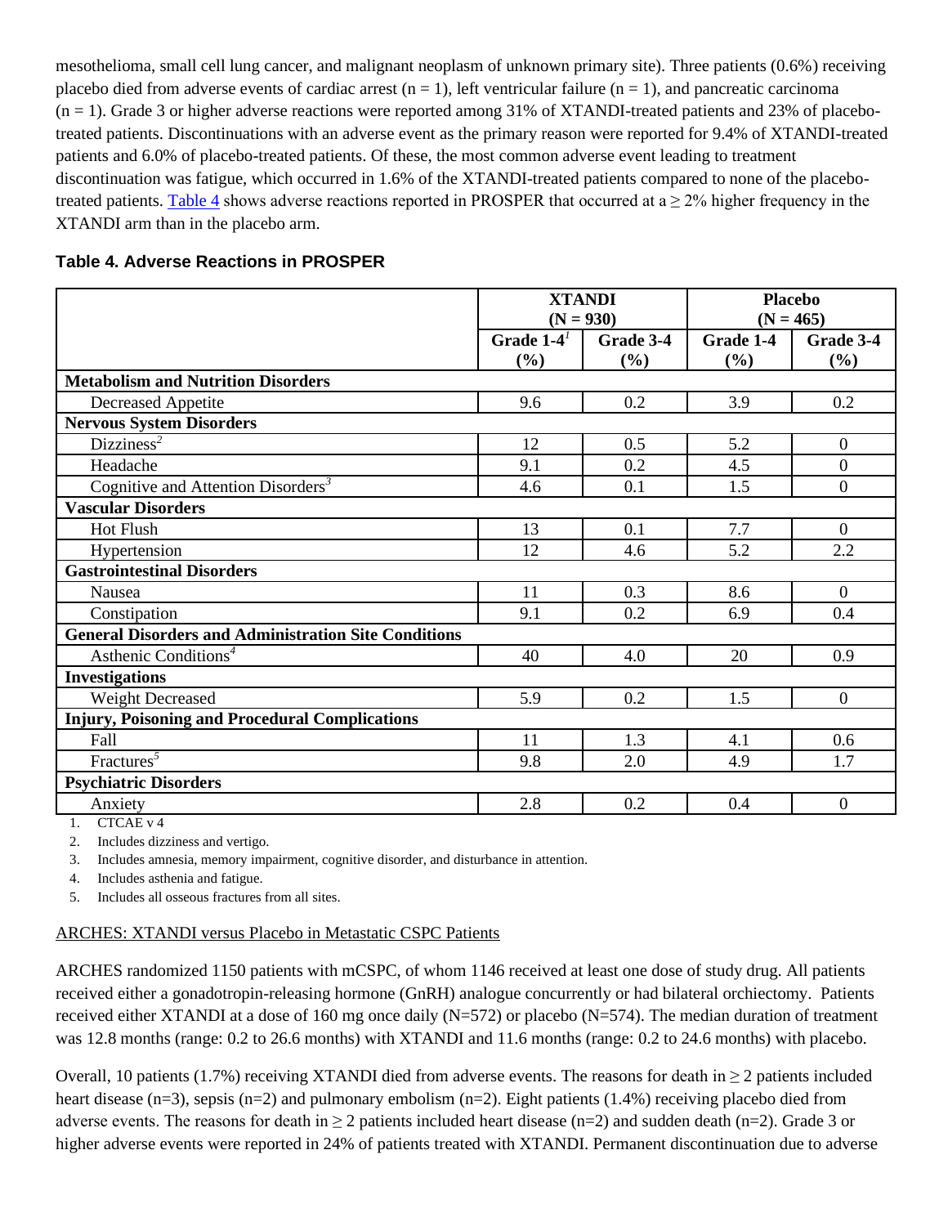mesothelioma, small cell lung cancer, and malignant neoplasm of unknown primary site). Three patients (0.6%) receiving placebo died from adverse events of cardiac arrest  $(n = 1)$ , left ventricular failure  $(n = 1)$ , and pancreatic carcinoma  $(n = 1)$ . Grade 3 or higher adverse reactions were reported among 31% of XTANDI-treated patients and 23% of placebotreated patients. Discontinuations with an adverse event as the primary reason were reported for 9.4% of XTANDI-treated patients and 6.0% of placebo-treated patients. Of these, the most common adverse event leading to treatment discontinuation was fatigue, which occurred in 1.6% of the XTANDI-treated patients compared to none of the placebo-treated patients. [Table 4](#page-7-0) shows adverse reactions reported in PROSPER that occurred at  $a \ge 2\%$  higher frequency in the XTANDI arm than in the placebo arm.

<span id="page-7-0"></span>

|                                                             | <b>XTANDI</b> |           |           | <b>Placebo</b> |
|-------------------------------------------------------------|---------------|-----------|-----------|----------------|
|                                                             | $(N = 930)$   |           |           | $(N = 465)$    |
|                                                             | Grade $1-4^1$ | Grade 3-4 | Grade 1-4 | Grade 3-4      |
|                                                             | $(\%)$        | (%)       | (%)       | (%)            |
| <b>Metabolism and Nutrition Disorders</b>                   |               |           |           |                |
| <b>Decreased Appetite</b>                                   | 9.6           | 0.2       | 3.9       | 0.2            |
| <b>Nervous System Disorders</b>                             |               |           |           |                |
| Dizziness <sup>2</sup>                                      | 12            | 0.5       | 5.2       | $\overline{0}$ |
| Headache                                                    | 9.1           | 0.2       | 4.5       | $\mathbf{0}$   |
| Cognitive and Attention Disorders <sup>3</sup>              | 4.6           | 0.1       | 1.5       | $\mathbf{0}$   |
| <b>Vascular Disorders</b>                                   |               |           |           |                |
| Hot Flush                                                   | 13            | 0.1       | 7.7       | $\overline{0}$ |
| Hypertension                                                | 12            | 4.6       | 5.2       | 2.2            |
| <b>Gastrointestinal Disorders</b>                           |               |           |           |                |
| <b>Nausea</b>                                               | 11            | 0.3       | 8.6       | $\overline{0}$ |
| Constipation                                                | 9.1           | 0.2       | 6.9       | 0.4            |
| <b>General Disorders and Administration Site Conditions</b> |               |           |           |                |
| Asthenic Conditions <sup>4</sup>                            | 40            | 4.0       | 20        | 0.9            |
| <b>Investigations</b>                                       |               |           |           |                |
| Weight Decreased                                            | 5.9           | 0.2       | 1.5       | $\overline{0}$ |
| <b>Injury, Poisoning and Procedural Complications</b>       |               |           |           |                |
| Fall                                                        | 11            | 1.3       | 4.1       | 0.6            |
| Fractures <sup>5</sup>                                      | 9.8           | 2.0       | 4.9       | 1.7            |
| <b>Psychiatric Disorders</b>                                |               |           |           |                |
| Anxiety                                                     | 2.8           | 0.2       | 0.4       | $\mathbf{0}$   |

<span id="page-7-1"></span>1. CTCAE v 4

<span id="page-7-2"></span>2. Includes dizziness and vertigo.

<span id="page-7-3"></span>3. Includes amnesia, memory impairment, cognitive disorder, and disturbance in attention.

<span id="page-7-4"></span>4. Includes asthenia and fatigue.

<span id="page-7-5"></span>5. Includes all osseous fractures from all sites.

### ARCHES: XTANDI versus Placebo in Metastatic CSPC Patients

ARCHES randomized 1150 patients with mCSPC, of whom 1146 received at least one dose of study drug. All patients received either a gonadotropin-releasing hormone (GnRH) analogue concurrently or had bilateral orchiectomy. Patients received either XTANDI at a dose of 160 mg once daily (N=572) or placebo (N=574). The median duration of treatment was 12.8 months (range: 0.2 to 26.6 months) with XTANDI and 11.6 months (range: 0.2 to 24.6 months) with placebo.

Overall, 10 patients (1.7%) receiving XTANDI died from adverse events. The reasons for death in  $\geq 2$  patients included heart disease (n=3), sepsis (n=2) and pulmonary embolism (n=2). Eight patients (1.4%) receiving placebo died from adverse events. The reasons for death in  $\geq 2$  patients included heart disease (n=2) and sudden death (n=2). Grade 3 or higher adverse events were reported in 24% of patients treated with XTANDI. Permanent discontinuation due to adverse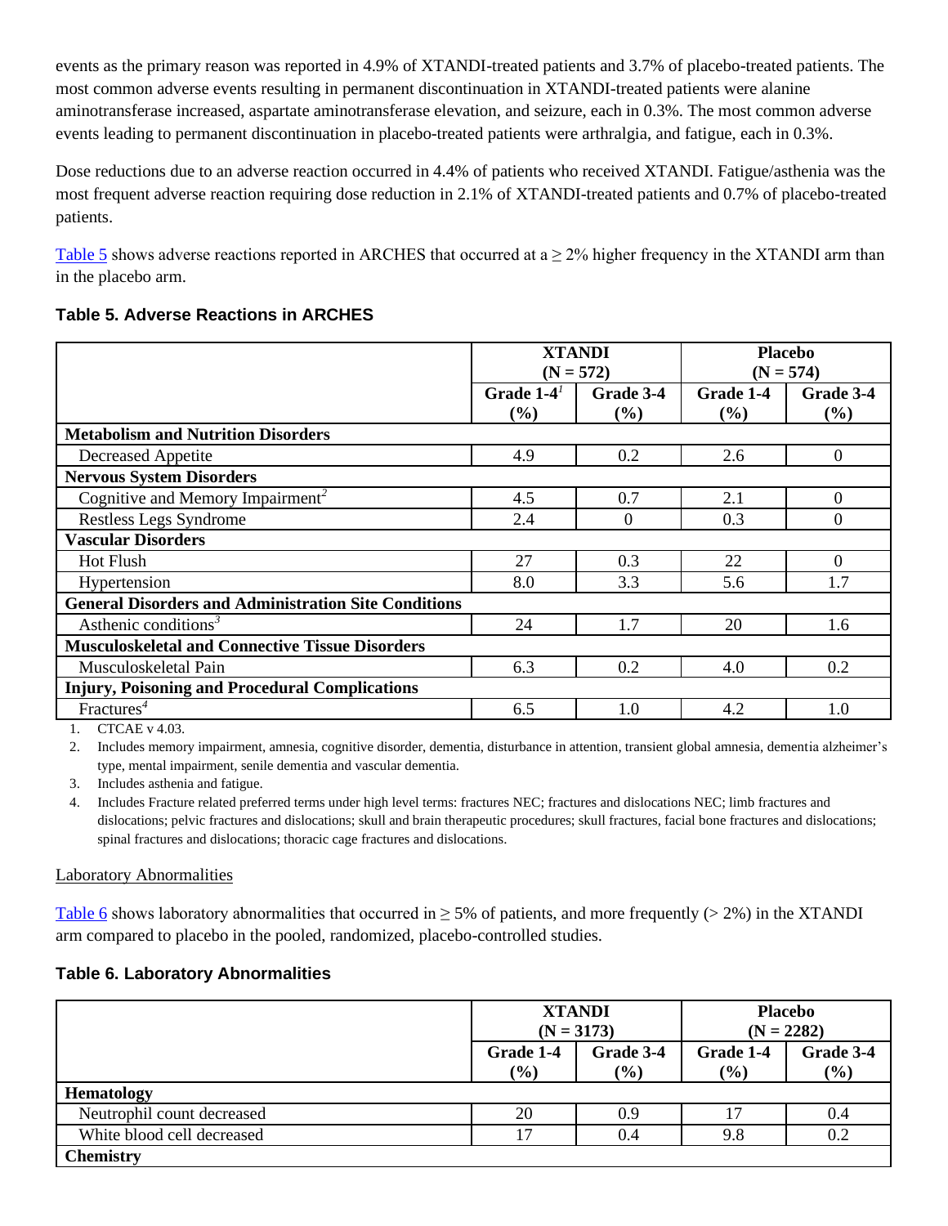events as the primary reason was reported in 4.9% of XTANDI-treated patients and 3.7% of placebo-treated patients. The most common adverse events resulting in permanent discontinuation in XTANDI-treated patients were alanine aminotransferase increased, aspartate aminotransferase elevation, and seizure, each in 0.3%. The most common adverse events leading to permanent discontinuation in placebo-treated patients were arthralgia, and fatigue, each in 0.3%.

Dose reductions due to an adverse reaction occurred in 4.4% of patients who received XTANDI. Fatigue/asthenia was the most frequent adverse reaction requiring dose reduction in 2.1% of XTANDI-treated patients and 0.7% of placebo-treated patients.

[Table 5](#page-8-0) shows adverse reactions reported in ARCHES that occurred at  $a \ge 2\%$  higher frequency in the XTANDI arm than in the placebo arm.

### <span id="page-8-0"></span>**Table 5. Adverse Reactions in ARCHES**

|                                                             | <b>XTANDI</b><br>$(N = 572)$ |           | <b>Placebo</b><br>$(N = 574)$ |           |
|-------------------------------------------------------------|------------------------------|-----------|-------------------------------|-----------|
|                                                             | Grade $1-4^1$                | Grade 3-4 | Grade 1-4                     | Grade 3-4 |
|                                                             | $(\%)$                       | $(\%)$    | $(\%)$                        | (%)       |
| <b>Metabolism and Nutrition Disorders</b>                   |                              |           |                               |           |
| Decreased Appetite                                          | 4.9                          | 0.2       | 2.6                           | $\theta$  |
| <b>Nervous System Disorders</b>                             |                              |           |                               |           |
| Cognitive and Memory Impairment <sup>2</sup>                | 4.5                          | 0.7       | 2.1                           | $\Omega$  |
| Restless Legs Syndrome                                      | 2.4                          | 0         | 0.3                           | $\Omega$  |
| <b>Vascular Disorders</b>                                   |                              |           |                               |           |
| <b>Hot Flush</b>                                            | 27                           | 0.3       | 22                            | $\Omega$  |
| Hypertension                                                | 8.0                          | 3.3       | 5.6                           | 1.7       |
| <b>General Disorders and Administration Site Conditions</b> |                              |           |                               |           |
| Asthenic conditions <sup>3</sup>                            | 24                           | 1.7       | 20                            | 1.6       |
| <b>Musculoskeletal and Connective Tissue Disorders</b>      |                              |           |                               |           |
| Musculoskeletal Pain                                        | 6.3                          | 0.2       | 4.0                           | 0.2       |
| <b>Injury, Poisoning and Procedural Complications</b>       |                              |           |                               |           |
| Fractures <sup>4</sup>                                      | 6.5                          | 1.0       | 4.2                           | 1.0       |

<span id="page-8-1"></span>1. CTCAE v 4.03.

<span id="page-8-2"></span>2. Includes memory impairment, amnesia, cognitive disorder, dementia, disturbance in attention, transient global amnesia, dementia alzheimer's type, mental impairment, senile dementia and vascular dementia.

<span id="page-8-3"></span>3. Includes asthenia and fatigue.

<span id="page-8-4"></span>4. Includes Fracture related preferred terms under high level terms: fractures NEC; fractures and dislocations NEC; limb fractures and dislocations; pelvic fractures and dislocations; skull and brain therapeutic procedures; skull fractures, facial bone fractures and dislocations; spinal fractures and dislocations; thoracic cage fractures and dislocations.

### Laboratory Abnormalities

[Table 6](#page-8-5) shows laboratory abnormalities that occurred in  $\geq$  5% of patients, and more frequently ( $\geq$  2%) in the XTANDI arm compared to placebo in the pooled, randomized, placebo-controlled studies.

### <span id="page-8-5"></span>**Table 6. Laboratory Abnormalities**

|                            | <b>XTANDI</b><br>$(N = 3173)$ |                  | $(N = 2282)$        | <b>Placebo</b>   |
|----------------------------|-------------------------------|------------------|---------------------|------------------|
|                            | Grade 1-4<br>(%)              | Grade 3-4<br>(%) | Grade 1-4<br>$($ %) | Grade 3-4<br>(%) |
| <b>Hematology</b>          |                               |                  |                     |                  |
| Neutrophil count decreased | 20                            | 0.9              |                     | 0.4              |
| White blood cell decreased | 17                            | 0.4              | 9.8                 | 0.2              |
| <b>Chemistry</b>           |                               |                  |                     |                  |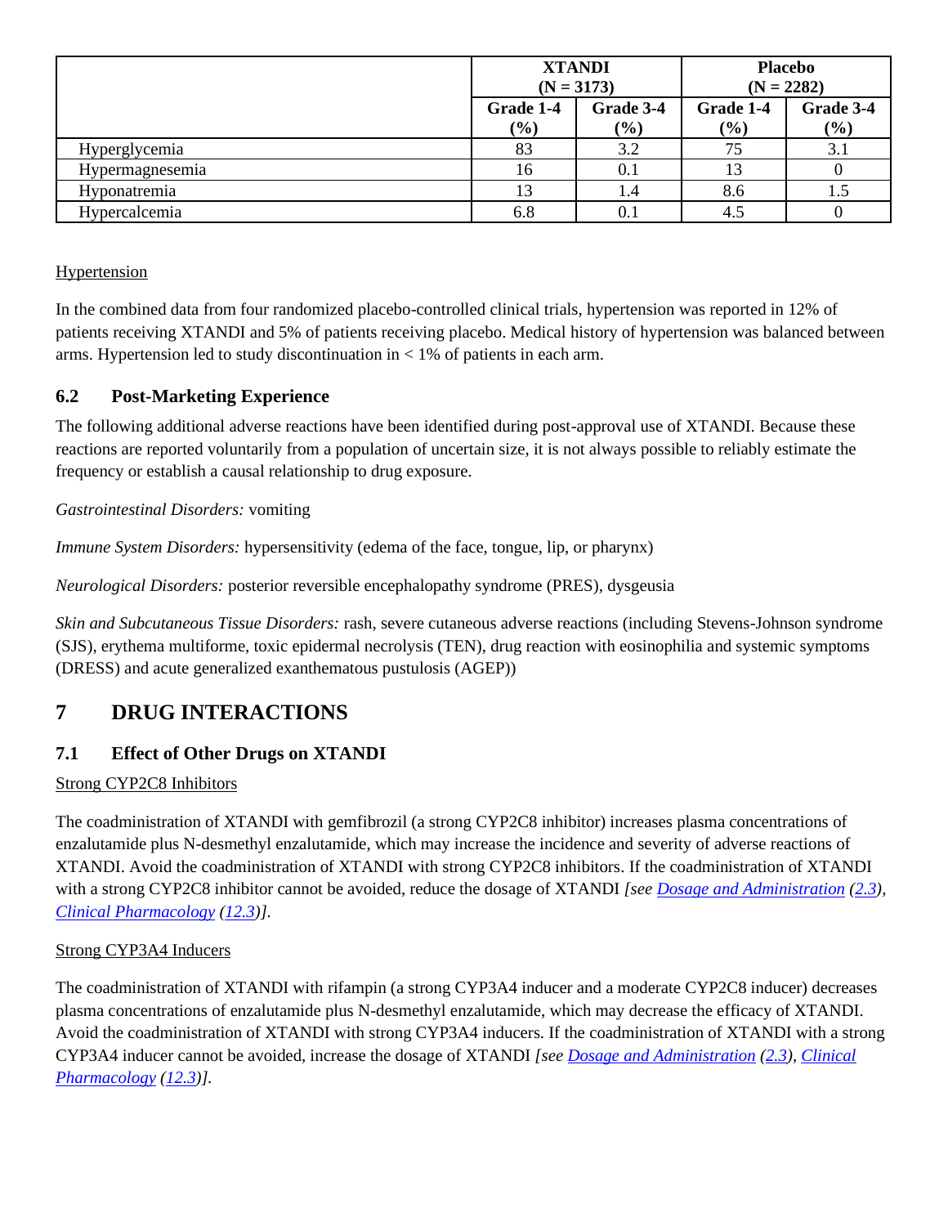|                 | <b>XTANDI</b><br>$(N = 3173)$ |                     |                  | <b>Placebo</b><br>$(N = 2282)$ |
|-----------------|-------------------------------|---------------------|------------------|--------------------------------|
|                 | Grade 1-4<br>$(\%)$           | Grade 3-4<br>$(\%)$ | Grade 1-4<br>(%) | Grade 3-4<br>(%)               |
| Hyperglycemia   | 83                            | 3.2                 | 75               | 3.1                            |
| Hypermagnesemia | 16                            | 0.1                 |                  |                                |
| Hyponatremia    | 13                            | 1.4                 | 8.6              | 1.5                            |
| Hypercalcemia   | 6.8                           | 0.1                 | 4.5              |                                |

**Hypertension** 

In the combined data from four randomized placebo-controlled clinical trials, hypertension was reported in 12% of patients receiving XTANDI and 5% of patients receiving placebo. Medical history of hypertension was balanced between arms. Hypertension led to study discontinuation in < 1% of patients in each arm.

# <span id="page-9-1"></span>**6.2 Post-Marketing Experience**

The following additional adverse reactions have been identified during post-approval use of XTANDI. Because these reactions are reported voluntarily from a population of uncertain size, it is not always possible to reliably estimate the frequency or establish a causal relationship to drug exposure.

*Gastrointestinal Disorders:* vomiting

*Immune System Disorders:* hypersensitivity (edema of the face, tongue, lip, or pharynx)

*Neurological Disorders:* posterior reversible encephalopathy syndrome (PRES), dysgeusia

*Skin and Subcutaneous Tissue Disorders:* rash, severe cutaneous adverse reactions (including Stevens-Johnson syndrome (SJS), erythema multiforme, toxic epidermal necrolysis (TEN), drug reaction with eosinophilia and systemic symptoms (DRESS) and acute generalized exanthematous pustulosis (AGEP))

# <span id="page-9-2"></span>**7 DRUG INTERACTIONS**

# <span id="page-9-0"></span>**7.1 Effect of Other Drugs on XTANDI**

### Strong CYP2C8 Inhibitors

The coadministration of XTANDI with gemfibrozil (a strong CYP2C8 inhibitor) increases plasma concentrations of enzalutamide plus N-desmethyl enzalutamide, which may increase the incidence and severity of adverse reactions of XTANDI. Avoid the coadministration of XTANDI with strong CYP2C8 inhibitors. If the coadministration of XTANDI with a strong CYP2C8 inhibitor cannot be avoided, reduce the dosage of XTANDI *[see [Dosage and Administration](#page-1-6) [\(2.3\)](#page-1-5), [Clinical Pharmacology](#page-12-0) [\(12.3\)](#page-12-3)].*

## <span id="page-9-3"></span>Strong CYP3A4 Inducers

The coadministration of XTANDI with rifampin (a strong CYP3A4 inducer and a moderate CYP2C8 inducer) decreases plasma concentrations of enzalutamide plus N-desmethyl enzalutamide, which may decrease the efficacy of XTANDI. Avoid the coadministration of XTANDI with strong CYP3A4 inducers. If the coadministration of XTANDI with a strong CYP3A4 inducer cannot be avoided, increase the dosage of XTANDI *[se[e Dosage and Administration](#page-1-6) [\(2.3\)](#page-1-5), [Clinical](#page-12-0)  [Pharmacology](#page-12-0) [\(12.3\)](#page-12-3)].*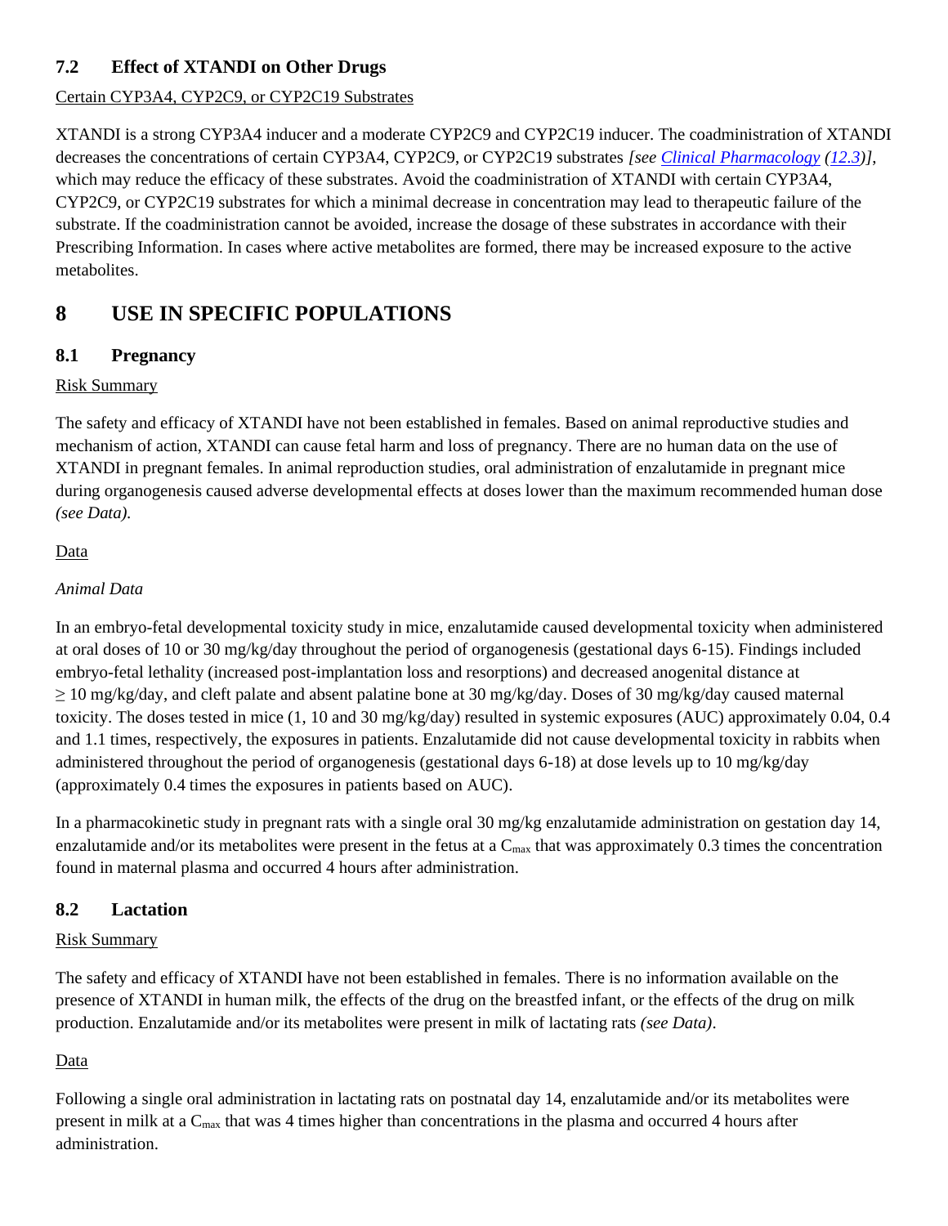# <span id="page-10-1"></span>**7.2 Effect of XTANDI on Other Drugs**

### Certain CYP3A4, CYP2C9, or CYP2C19 Substrates

XTANDI is a strong CYP3A4 inducer and a moderate CYP2C9 and CYP2C19 inducer. The coadministration of XTANDI decreases the concentrations of certain CYP3A4, CYP2C9, or CYP2C19 substrates *[se[e Clinical Pharmacology](#page-12-0) [\(12.3\)](#page-12-3)]*, which may reduce the efficacy of these substrates. Avoid the coadministration of XTANDI with certain CYP3A4, CYP2C9, or CYP2C19 substrates for which a minimal decrease in concentration may lead to therapeutic failure of the substrate. If the coadministration cannot be avoided, increase the dosage of these substrates in accordance with their Prescribing Information. In cases where active metabolites are formed, there may be increased exposure to the active metabolites.

# <span id="page-10-2"></span>**8 USE IN SPECIFIC POPULATIONS**

# <span id="page-10-0"></span>**8.1 Pregnancy**

### Risk Summary

The safety and efficacy of XTANDI have not been established in females. Based on animal reproductive studies and mechanism of action, XTANDI can cause fetal harm and loss of pregnancy. There are no human data on the use of XTANDI in pregnant females. In animal reproduction studies, oral administration of enzalutamide in pregnant mice during organogenesis caused adverse developmental effects at doses lower than the maximum recommended human dose *(see Data).*

### Data

### *Animal Data*

In an embryo-fetal developmental toxicity study in mice, enzalutamide caused developmental toxicity when administered at oral doses of 10 or 30 mg/kg/day throughout the period of organogenesis (gestational days 6-15). Findings included embryo-fetal lethality (increased post-implantation loss and resorptions) and decreased anogenital distance at  $\geq$  10 mg/kg/day, and cleft palate and absent palatine bone at 30 mg/kg/day. Doses of 30 mg/kg/day caused maternal toxicity. The doses tested in mice (1, 10 and 30 mg/kg/day) resulted in systemic exposures (AUC) approximately 0.04, 0.4 and 1.1 times, respectively, the exposures in patients. Enzalutamide did not cause developmental toxicity in rabbits when administered throughout the period of organogenesis (gestational days 6-18) at dose levels up to 10 mg/kg/day (approximately 0.4 times the exposures in patients based on AUC).

In a pharmacokinetic study in pregnant rats with a single oral 30 mg/kg enzalutamide administration on gestation day 14, enzalutamide and/or its metabolites were present in the fetus at a  $C_{\text{max}}$  that was approximately 0.3 times the concentration found in maternal plasma and occurred 4 hours after administration.

# <span id="page-10-3"></span>**8.2 Lactation**

## Risk Summary

The safety and efficacy of XTANDI have not been established in females. There is no information available on the presence of XTANDI in human milk, the effects of the drug on the breastfed infant, or the effects of the drug on milk production. Enzalutamide and/or its metabolites were present in milk of lactating rats *(see Data)*.

## Data

Following a single oral administration in lactating rats on postnatal day 14, enzalutamide and/or its metabolites were present in milk at a Cmax that was 4 times higher than concentrations in the plasma and occurred 4 hours after administration.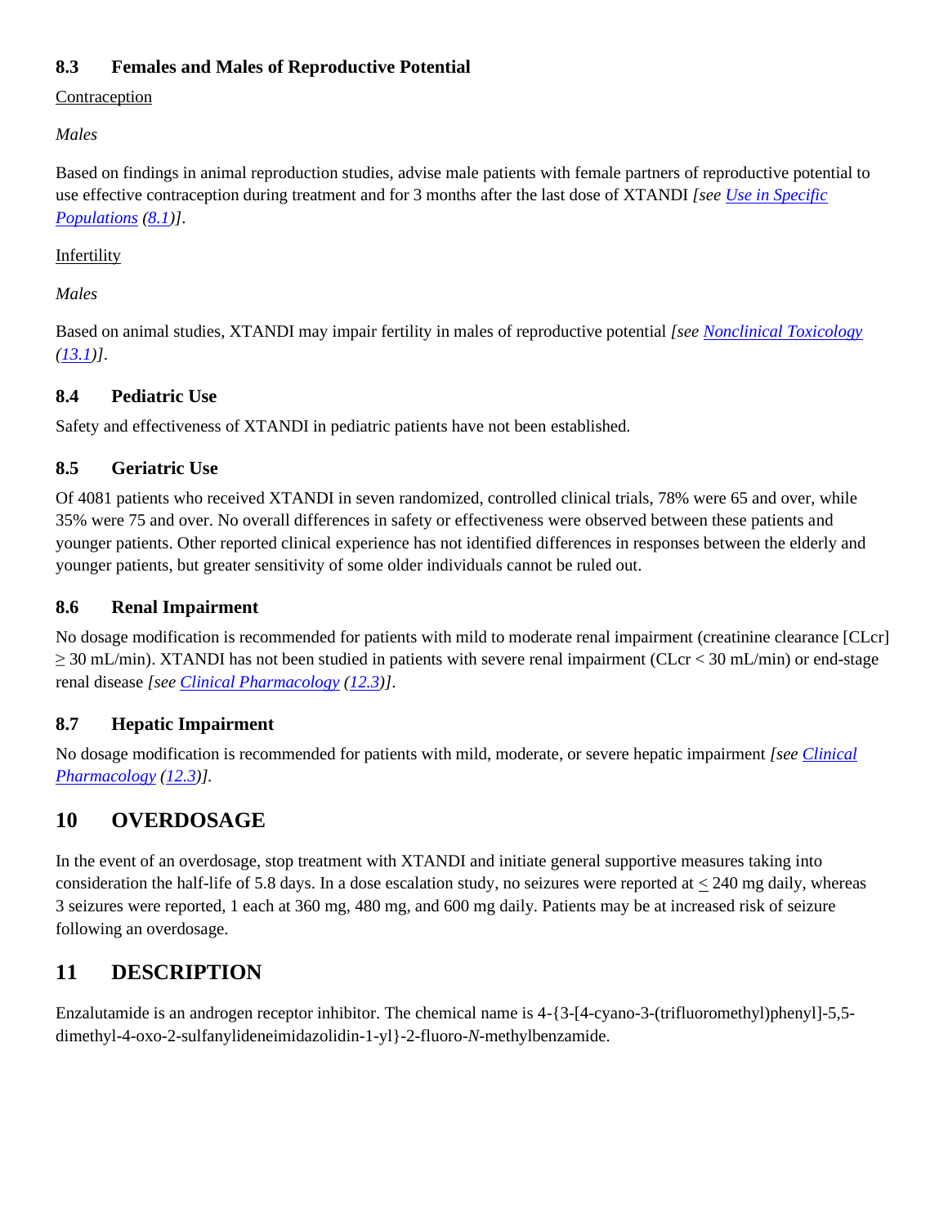# <span id="page-11-0"></span>**8.3 Females and Males of Reproductive Potential**

Contraception

*Males*

Based on findings in animal reproduction studies, advise male patients with female partners of reproductive potential to use effective contraception during treatment and for 3 months after the last dose of XTANDI *[see [Use in Specific](#page-10-2)  [Populations](#page-10-2) [\(8.1\)](#page-10-0)]*.

### **Infertility**

*Males*

Based on animal studies, XTANDI may impair fertility in males of reproductive potential *[see [Nonclinical Toxicology](#page-14-0) [\(13.1\)](#page-14-1)]*.

# <span id="page-11-1"></span>**8.4 Pediatric Use**

Safety and effectiveness of XTANDI in pediatric patients have not been established.

# <span id="page-11-2"></span>**8.5 Geriatric Use**

Of 4081 patients who received XTANDI in seven randomized, controlled clinical trials, 78% were 65 and over, while 35% were 75 and over. No overall differences in safety or effectiveness were observed between these patients and younger patients. Other reported clinical experience has not identified differences in responses between the elderly and younger patients, but greater sensitivity of some older individuals cannot be ruled out.

## <span id="page-11-3"></span>**8.6 Renal Impairment**

No dosage modification is recommended for patients with mild to moderate renal impairment (creatinine clearance [CLcr] ≥ 30 mL/min). XTANDI has not been studied in patients with severe renal impairment (CLcr < 30 mL/min) or end-stage renal disease *[see [Clinical Pharmacology](#page-12-0) [\(12.3\)](#page-12-3)]*.

# <span id="page-11-4"></span>**8.7 Hepatic Impairment**

No dosage modification is recommended for patients with mild, moderate, or severe hepatic impairment *[see [Clinical](#page-12-0)  [Pharmacology](#page-12-0) [\(12.3\)](#page-12-3)].*

# <span id="page-11-5"></span>**10 OVERDOSAGE**

In the event of an overdosage, stop treatment with XTANDI and initiate general supportive measures taking into consideration the half-life of 5.8 days. In a dose escalation study, no seizures were reported at  $<$  240 mg daily, whereas 3 seizures were reported, 1 each at 360 mg, 480 mg, and 600 mg daily. Patients may be at increased risk of seizure following an overdosage.

# <span id="page-11-6"></span>**11 DESCRIPTION**

Enzalutamide is an androgen receptor inhibitor. The chemical name is 4-{3-[4-cyano-3-(trifluoromethyl)phenyl]-5,5 dimethyl-4-oxo-2-sulfanylideneimidazolidin-1-yl}-2-fluoro-*N*-methylbenzamide.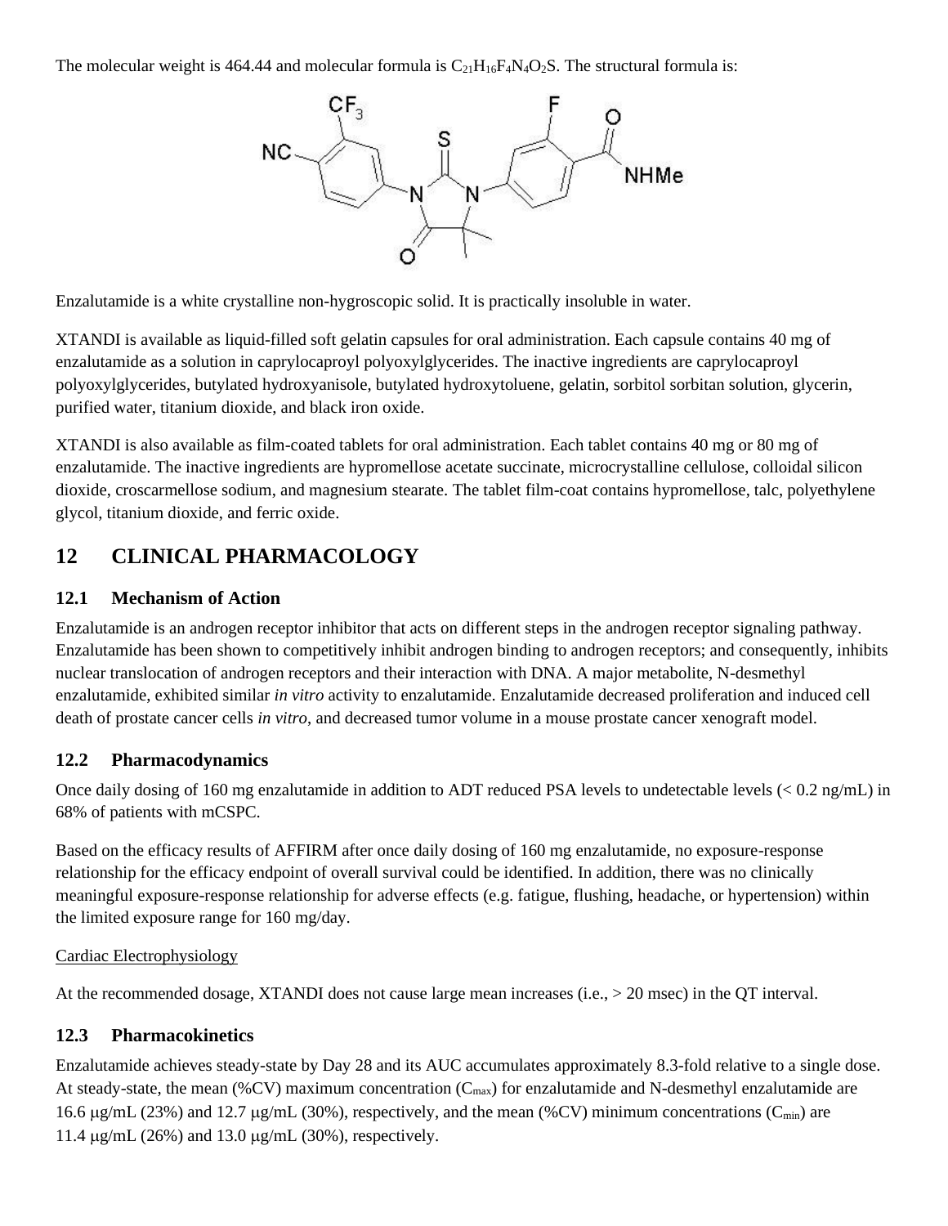The molecular weight is 464.44 and molecular formula is  $C_{21}H_{16}F_4N_4O_2S$ . The structural formula is:



Enzalutamide is a white crystalline non-hygroscopic solid. It is practically insoluble in water.

XTANDI is available as liquid-filled soft gelatin capsules for oral administration. Each capsule contains 40 mg of enzalutamide as a solution in caprylocaproyl polyoxylglycerides. The inactive ingredients are caprylocaproyl polyoxylglycerides, butylated hydroxyanisole, butylated hydroxytoluene, gelatin, sorbitol sorbitan solution, glycerin, purified water, titanium dioxide, and black iron oxide.

XTANDI is also available as film-coated tablets for oral administration. Each tablet contains 40 mg or 80 mg of enzalutamide. The inactive ingredients are hypromellose acetate succinate, microcrystalline cellulose, colloidal silicon dioxide, croscarmellose sodium, and magnesium stearate. The tablet film-coat contains hypromellose, talc, polyethylene glycol, titanium dioxide, and ferric oxide.

# <span id="page-12-0"></span>**12 CLINICAL PHARMACOLOGY**

### <span id="page-12-1"></span>**12.1 Mechanism of Action**

Enzalutamide is an androgen receptor inhibitor that acts on different steps in the androgen receptor signaling pathway. Enzalutamide has been shown to competitively inhibit androgen binding to androgen receptors; and consequently, inhibits nuclear translocation of androgen receptors and their interaction with DNA. A major metabolite, N-desmethyl enzalutamide, exhibited similar *in vitro* activity to enzalutamide. Enzalutamide decreased proliferation and induced cell death of prostate cancer cells *in vitro*, and decreased tumor volume in a mouse prostate cancer xenograft model.

## <span id="page-12-2"></span>**12.2 Pharmacodynamics**

Once daily dosing of 160 mg enzalutamide in addition to ADT reduced PSA levels to undetectable levels (< 0.2 ng/mL) in 68% of patients with mCSPC.

Based on the efficacy results of AFFIRM after once daily dosing of 160 mg enzalutamide, no exposure-response relationship for the efficacy endpoint of overall survival could be identified. In addition, there was no clinically meaningful exposure-response relationship for adverse effects (e.g. fatigue, flushing, headache, or hypertension) within the limited exposure range for 160 mg/day.

### Cardiac Electrophysiology

At the recommended dosage, XTANDI does not cause large mean increases (i.e., > 20 msec) in the QT interval.

### <span id="page-12-3"></span>**12.3 Pharmacokinetics**

Enzalutamide achieves steady-state by Day 28 and its AUC accumulates approximately 8.3-fold relative to a single dose. At steady-state, the mean (%CV) maximum concentration ( $C_{\text{max}}$ ) for enzalutamide and N-desmethyl enzalutamide are 16.6  $\mu$ g/mL (23%) and 12.7  $\mu$ g/mL (30%), respectively, and the mean (%CV) minimum concentrations (C<sub>min</sub>) are 11.4  $\mu$ g/mL (26%) and 13.0  $\mu$ g/mL (30%), respectively.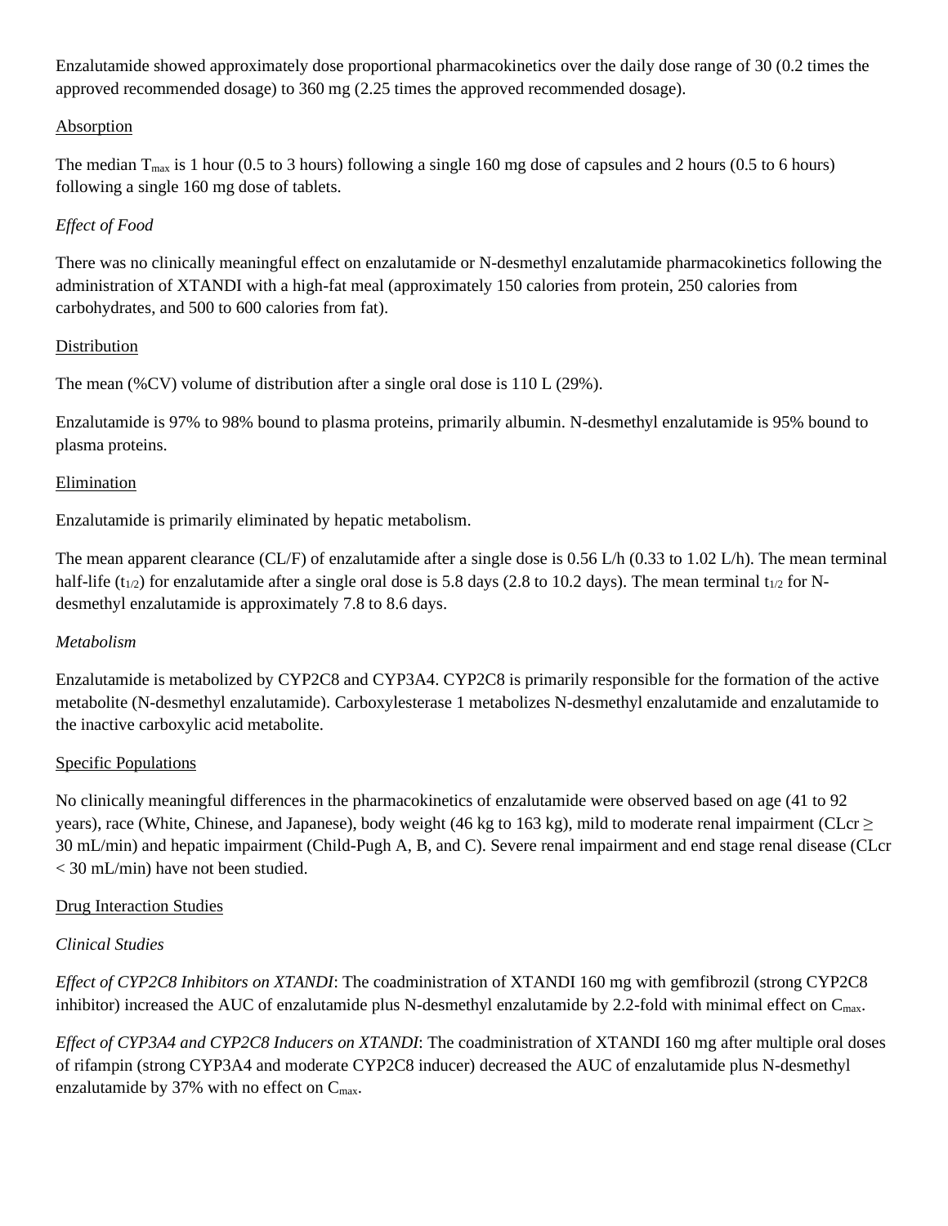Enzalutamide showed approximately dose proportional pharmacokinetics over the daily dose range of 30 (0.2 times the approved recommended dosage) to 360 mg (2.25 times the approved recommended dosage).

### Absorption

The median  $T_{\text{max}}$  is 1 hour (0.5 to 3 hours) following a single 160 mg dose of capsules and 2 hours (0.5 to 6 hours) following a single 160 mg dose of tablets.

## *Effect of Food*

There was no clinically meaningful effect on enzalutamide or N-desmethyl enzalutamide pharmacokinetics following the administration of XTANDI with a high-fat meal (approximately 150 calories from protein, 250 calories from carbohydrates, and 500 to 600 calories from fat).

### Distribution

The mean (%CV) volume of distribution after a single oral dose is 110 L (29%).

Enzalutamide is 97% to 98% bound to plasma proteins, primarily albumin. N-desmethyl enzalutamide is 95% bound to plasma proteins.

### Elimination

Enzalutamide is primarily eliminated by hepatic metabolism.

The mean apparent clearance (CL/F) of enzalutamide after a single dose is 0.56 L/h (0.33 to 1.02 L/h). The mean terminal half-life ( $t_{1/2}$ ) for enzalutamide after a single oral dose is 5.8 days (2.8 to 10.2 days). The mean terminal  $t_{1/2}$  for Ndesmethyl enzalutamide is approximately 7.8 to 8.6 days.

### *Metabolism*

Enzalutamide is metabolized by CYP2C8 and CYP3A4. CYP2C8 is primarily responsible for the formation of the active metabolite (N-desmethyl enzalutamide). Carboxylesterase 1 metabolizes N-desmethyl enzalutamide and enzalutamide to the inactive carboxylic acid metabolite.

### Specific Populations

No clinically meaningful differences in the pharmacokinetics of enzalutamide were observed based on age (41 to 92 years), race (White, Chinese, and Japanese), body weight (46 kg to 163 kg), mild to moderate renal impairment (CLcr  $\geq$ 30 mL/min) and hepatic impairment (Child-Pugh A, B, and C). Severe renal impairment and end stage renal disease (CLcr < 30 mL/min) have not been studied.

### Drug Interaction Studies

## *Clinical Studies*

*Effect of CYP2C8 Inhibitors on XTANDI*: The coadministration of XTANDI 160 mg with gemfibrozil (strong CYP2C8 inhibitor) increased the AUC of enzalutamide plus N-desmethyl enzalutamide by 2.2-fold with minimal effect on C<sub>max</sub>.

*Effect of CYP3A4 and CYP2C8 Inducers on XTANDI*: The coadministration of XTANDI 160 mg after multiple oral doses of rifampin (strong CYP3A4 and moderate CYP2C8 inducer) decreased the AUC of enzalutamide plus N-desmethyl enzalutamide by 37% with no effect on  $C_{\text{max}}$ .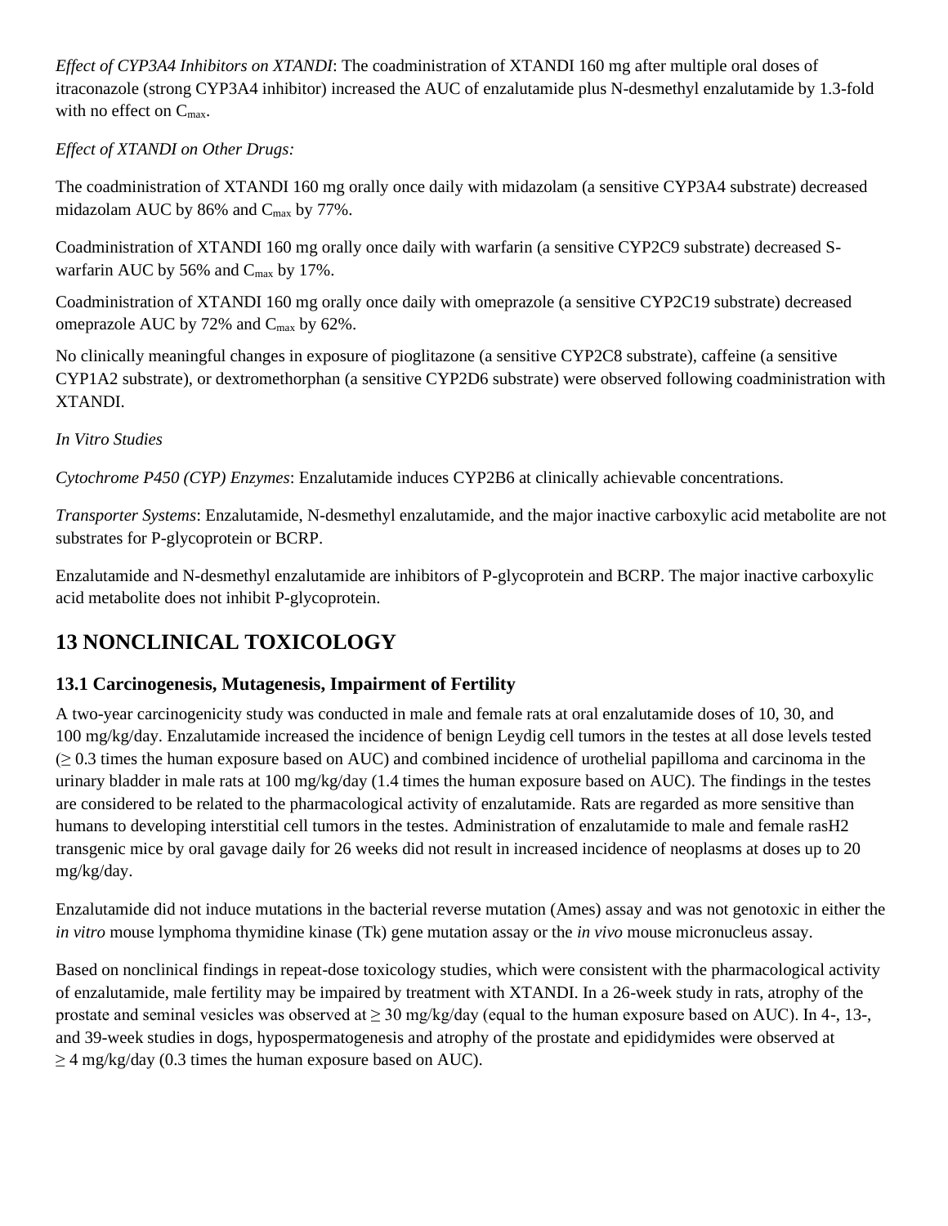*Effect of CYP3A4 Inhibitors on XTANDI*: The coadministration of XTANDI 160 mg after multiple oral doses of itraconazole (strong CYP3A4 inhibitor) increased the AUC of enzalutamide plus N-desmethyl enzalutamide by 1.3-fold with no effect on C<sub>max</sub>.

*Effect of XTANDI on Other Drugs:*

The coadministration of XTANDI 160 mg orally once daily with midazolam (a sensitive CYP3A4 substrate) decreased midazolam AUC by 86% and C<sub>max</sub> by 77%.

Coadministration of XTANDI 160 mg orally once daily with warfarin (a sensitive CYP2C9 substrate) decreased Swarfarin AUC by 56% and  $C_{\text{max}}$  by 17%.

Coadministration of XTANDI 160 mg orally once daily with omeprazole (a sensitive CYP2C19 substrate) decreased omeprazole AUC by 72% and Cmax by 62%.

No clinically meaningful changes in exposure of pioglitazone (a sensitive CYP2C8 substrate), caffeine (a sensitive CYP1A2 substrate), or dextromethorphan (a sensitive CYP2D6 substrate) were observed following coadministration with XTANDI.

*In Vitro Studies*

*Cytochrome P450 (CYP) Enzymes*: Enzalutamide induces CYP2B6 at clinically achievable concentrations.

*Transporter Systems*: Enzalutamide, N-desmethyl enzalutamide, and the major inactive carboxylic acid metabolite are not substrates for P-glycoprotein or BCRP.

Enzalutamide and N-desmethyl enzalutamide are inhibitors of P-glycoprotein and BCRP. The major inactive carboxylic acid metabolite does not inhibit P-glycoprotein.

# <span id="page-14-0"></span>**13 NONCLINICAL TOXICOLOGY**

# <span id="page-14-1"></span>**13.1 Carcinogenesis, Mutagenesis, Impairment of Fertility**

A two-year carcinogenicity study was conducted in male and female rats at oral enzalutamide doses of 10, 30, and 100 mg/kg/day. Enzalutamide increased the incidence of benign Leydig cell tumors in the testes at all dose levels tested (≥ 0.3 times the human exposure based on AUC) and combined incidence of urothelial papilloma and carcinoma in the urinary bladder in male rats at 100 mg/kg/day (1.4 times the human exposure based on AUC). The findings in the testes are considered to be related to the pharmacological activity of enzalutamide. Rats are regarded as more sensitive than humans to developing interstitial cell tumors in the testes. Administration of enzalutamide to male and female rasH2 transgenic mice by oral gavage daily for 26 weeks did not result in increased incidence of neoplasms at doses up to 20 mg/kg/day.

Enzalutamide did not induce mutations in the bacterial reverse mutation (Ames) assay and was not genotoxic in either the *in vitro* mouse lymphoma thymidine kinase (Tk) gene mutation assay or the *in vivo* mouse micronucleus assay.

Based on nonclinical findings in repeat-dose toxicology studies, which were consistent with the pharmacological activity of enzalutamide, male fertility may be impaired by treatment with XTANDI. In a 26-week study in rats, atrophy of the prostate and seminal vesicles was observed at  $\geq 30$  mg/kg/day (equal to the human exposure based on AUC). In 4-, 13-, and 39-week studies in dogs, hypospermatogenesis and atrophy of the prostate and epididymides were observed at  $\geq$  4 mg/kg/day (0.3 times the human exposure based on AUC).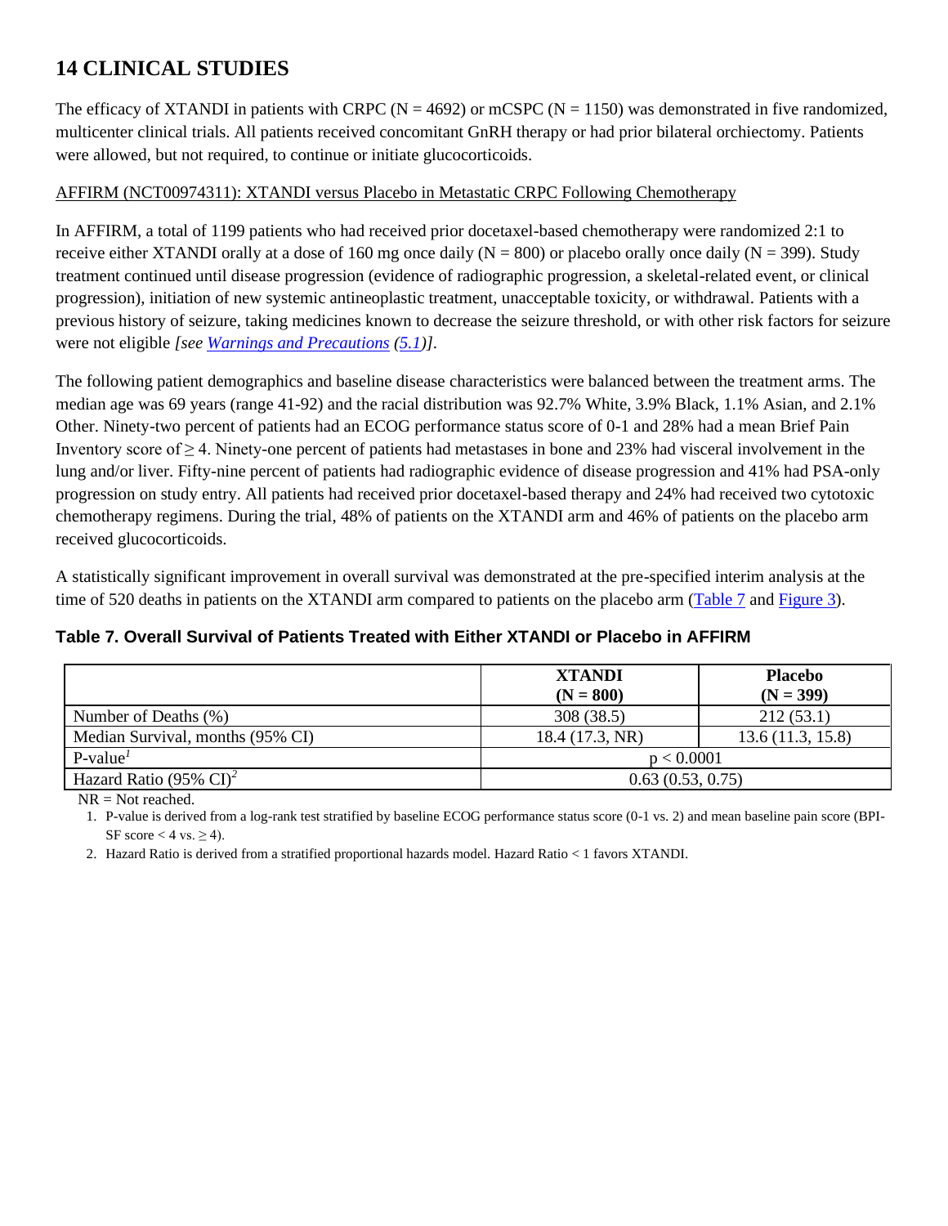# <span id="page-15-0"></span>**14 CLINICAL STUDIES**

The efficacy of XTANDI in patients with CRPC ( $N = 4692$ ) or mCSPC ( $N = 1150$ ) was demonstrated in five randomized, multicenter clinical trials. All patients received concomitant GnRH therapy or had prior bilateral orchiectomy. Patients were allowed, but not required, to continue or initiate glucocorticoids.

### AFFIRM (NCT00974311): XTANDI versus Placebo in Metastatic CRPC Following Chemotherapy

In AFFIRM, a total of 1199 patients who had received prior docetaxel-based chemotherapy were randomized 2:1 to receive either XTANDI orally at a dose of 160 mg once daily ( $N = 800$ ) or placebo orally once daily ( $N = 399$ ). Study treatment continued until disease progression (evidence of radiographic progression, a skeletal-related event, or clinical progression), initiation of new systemic antineoplastic treatment, unacceptable toxicity, or withdrawal. Patients with a previous history of seizure, taking medicines known to decrease the seizure threshold, or with other risk factors for seizure were not eligible *[se[e Warnings and Precautions](#page-2-5) [\(5.1\)](#page-2-0)]*.

The following patient demographics and baseline disease characteristics were balanced between the treatment arms. The median age was 69 years (range 41-92) and the racial distribution was 92.7% White, 3.9% Black, 1.1% Asian, and 2.1% Other. Ninety-two percent of patients had an ECOG performance status score of 0-1 and 28% had a mean Brief Pain Inventory score of ≥ 4. Ninety-one percent of patients had metastases in bone and 23% had visceral involvement in the lung and/or liver. Fifty-nine percent of patients had radiographic evidence of disease progression and 41% had PSA-only progression on study entry. All patients had received prior docetaxel-based therapy and 24% had received two cytotoxic chemotherapy regimens. During the trial, 48% of patients on the XTANDI arm and 46% of patients on the placebo arm received glucocorticoids.

A statistically significant improvement in overall survival was demonstrated at the pre-specified interim analysis at the time of 520 deaths in patients on the XTANDI arm compared to patients on the placebo arm [\(Table 7](#page-15-1) an[d Figure 3\)](#page-16-0).

|                                       | <b>XTANDI</b><br>$(N = 800)$ | <b>Placebo</b><br>$(N = 399)$ |  |  |
|---------------------------------------|------------------------------|-------------------------------|--|--|
| Number of Deaths (%)                  | 308 (38.5)                   | 212(53.1)                     |  |  |
| Median Survival, months (95% CI)      | 18.4 (17.3, NR)              | 13.6(11.3, 15.8)              |  |  |
| $P-valueT$                            |                              | p < 0.0001                    |  |  |
| Hazard Ratio (95% $CI$ ) <sup>2</sup> |                              | 0.63(0.53, 0.75)              |  |  |

## <span id="page-15-1"></span>**Table 7. Overall Survival of Patients Treated with Either XTANDI or Placebo in AFFIRM**

<span id="page-15-2"></span>NR = Not reached.

1. P-value is derived from a log-rank test stratified by baseline ECOG performance status score (0-1 vs. 2) and mean baseline pain score (BPI-SF score  $<$  4 vs.  $\geq$  4).

<span id="page-15-3"></span>2. Hazard Ratio is derived from a stratified proportional hazards model. Hazard Ratio < 1 favors XTANDI.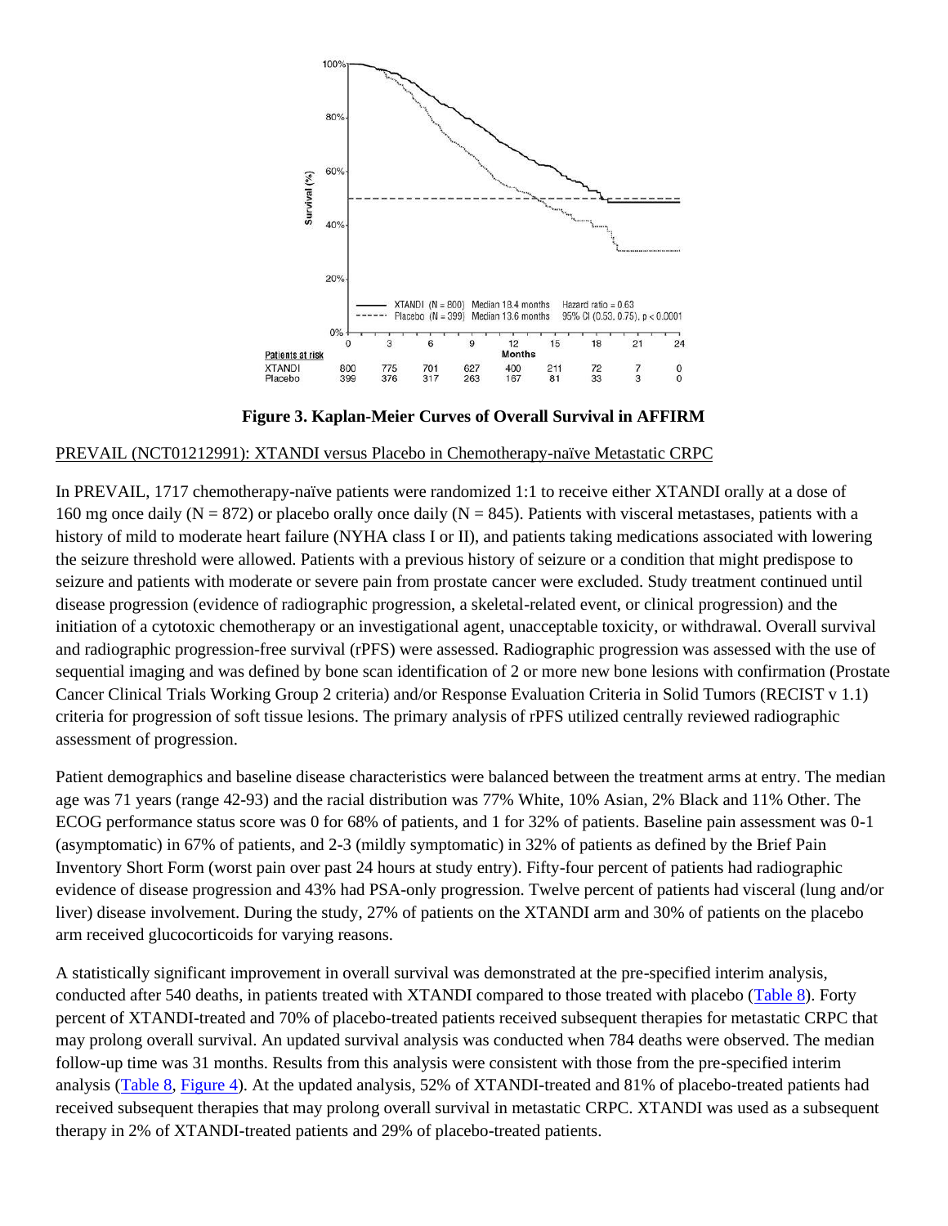

**Figure 3. Kaplan-Meier Curves of Overall Survival in AFFIRM** 

### <span id="page-16-0"></span>PREVAIL (NCT01212991): XTANDI versus Placebo in Chemotherapy-naïve Metastatic CRPC

In PREVAIL, 1717 chemotherapy-naïve patients were randomized 1:1 to receive either XTANDI orally at a dose of 160 mg once daily (N = 872) or placebo orally once daily (N = 845). Patients with visceral metastases, patients with a history of mild to moderate heart failure (NYHA class I or II), and patients taking medications associated with lowering the seizure threshold were allowed. Patients with a previous history of seizure or a condition that might predispose to seizure and patients with moderate or severe pain from prostate cancer were excluded. Study treatment continued until disease progression (evidence of radiographic progression, a skeletal-related event, or clinical progression) and the initiation of a cytotoxic chemotherapy or an investigational agent, unacceptable toxicity, or withdrawal. Overall survival and radiographic progression-free survival (rPFS) were assessed. Radiographic progression was assessed with the use of sequential imaging and was defined by bone scan identification of 2 or more new bone lesions with confirmation (Prostate Cancer Clinical Trials Working Group 2 criteria) and/or Response Evaluation Criteria in Solid Tumors (RECIST v 1.1) criteria for progression of soft tissue lesions. The primary analysis of rPFS utilized centrally reviewed radiographic assessment of progression.

Patient demographics and baseline disease characteristics were balanced between the treatment arms at entry. The median age was 71 years (range 42-93) and the racial distribution was 77% White, 10% Asian, 2% Black and 11% Other. The ECOG performance status score was 0 for 68% of patients, and 1 for 32% of patients. Baseline pain assessment was 0-1 (asymptomatic) in 67% of patients, and 2-3 (mildly symptomatic) in 32% of patients as defined by the Brief Pain Inventory Short Form (worst pain over past 24 hours at study entry). Fifty-four percent of patients had radiographic evidence of disease progression and 43% had PSA-only progression. Twelve percent of patients had visceral (lung and/or liver) disease involvement. During the study, 27% of patients on the XTANDI arm and 30% of patients on the placebo arm received glucocorticoids for varying reasons.

A statistically significant improvement in overall survival was demonstrated at the pre-specified interim analysis, conducted after 540 deaths, in patients treated with XTANDI compared to those treated with placebo [\(Table 8\)](#page-17-0). Forty percent of XTANDI-treated and 70% of placebo-treated patients received subsequent therapies for metastatic CRPC that may prolong overall survival. An updated survival analysis was conducted when 784 deaths were observed. The median follow-up time was 31 months. Results from this analysis were consistent with those from the pre-specified interim analysis [\(Table 8,](#page-17-0) [Figure 4\)](#page-17-1). At the updated analysis, 52% of XTANDI-treated and 81% of placebo-treated patients had received subsequent therapies that may prolong overall survival in metastatic CRPC. XTANDI was used as a subsequent therapy in 2% of XTANDI-treated patients and 29% of placebo-treated patients.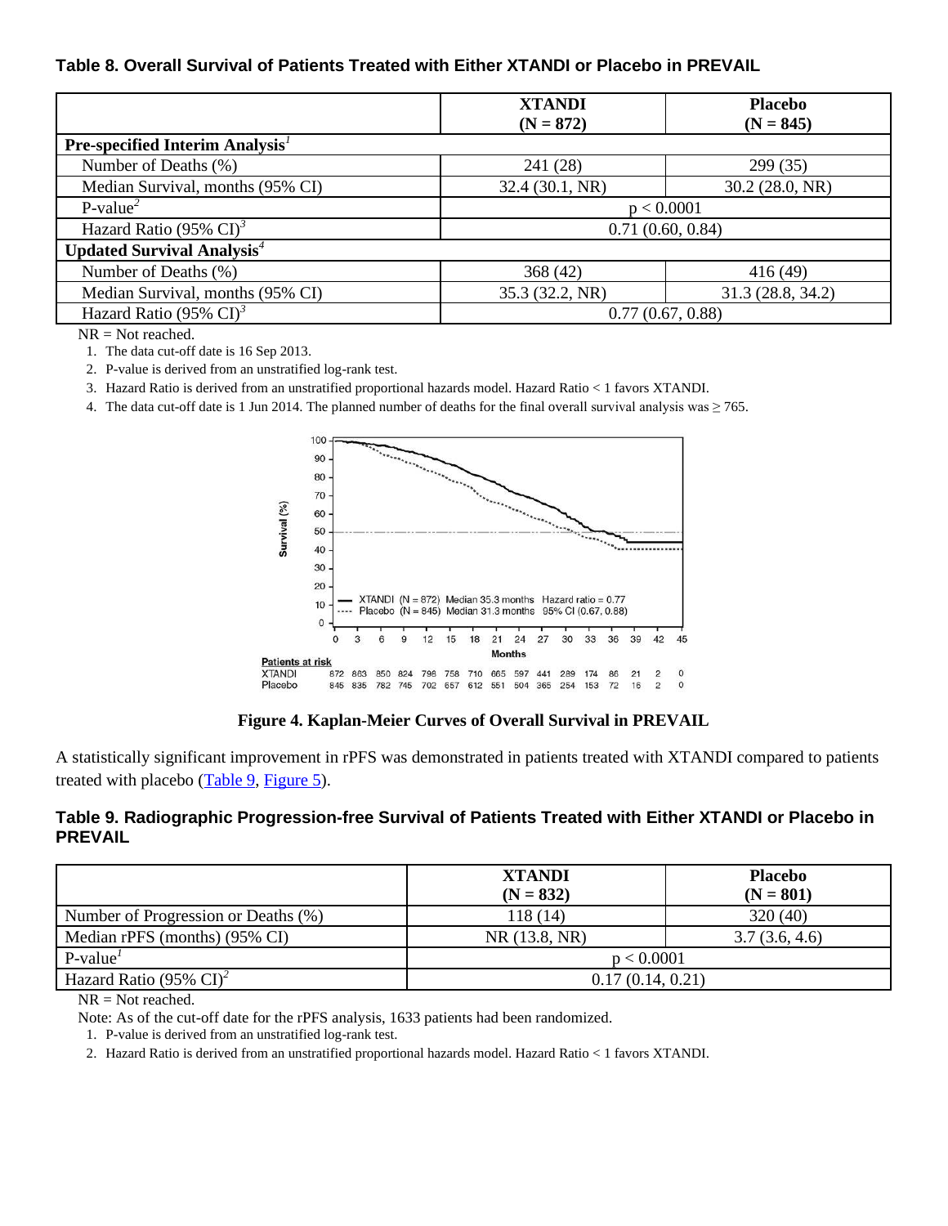### <span id="page-17-0"></span>**Table 8. Overall Survival of Patients Treated with Either XTANDI or Placebo in PREVAIL**

|                                              | <b>XTANDI</b><br>$(N = 872)$ | <b>Placebo</b><br>$(N = 845)$ |  |
|----------------------------------------------|------------------------------|-------------------------------|--|
| <b>Pre-specified Interim Analysis</b> $^1$   |                              |                               |  |
| Number of Deaths (%)                         | 241 (28)                     | 299 (35)                      |  |
| Median Survival, months (95% CI)             | 32.4 (30.1, NR)              | 30.2(28.0, NR)                |  |
| $P-value2$                                   |                              | p < 0.0001                    |  |
| Hazard Ratio (95% $CI$ ) <sup>3</sup>        |                              | 0.71(0.60, 0.84)              |  |
| <b>Updated Survival Analysis<sup>4</sup></b> |                              |                               |  |
| Number of Deaths (%)                         | 368 (42)                     | 416(49)                       |  |
| Median Survival, months (95% CI)             | 35.3 (32.2, NR)              | 31.3 (28.8, 34.2)             |  |
| Hazard Ratio (95% $CI$ ) <sup>3</sup>        | 0.77(0.67, 0.88)             |                               |  |

<span id="page-17-2"></span>NR = Not reached.

1. The data cut-off date is 16 Sep 2013.

<span id="page-17-3"></span>2. P-value is derived from an unstratified log-rank test.

<span id="page-17-4"></span>3. Hazard Ratio is derived from an unstratified proportional hazards model. Hazard Ratio < 1 favors XTANDI.

<span id="page-17-5"></span>4. The data cut-off date is 1 Jun 2014. The planned number of deaths for the final overall survival analysis was  $\geq$  765.



**Figure 4. Kaplan-Meier Curves of Overall Survival in PREVAIL** 

<span id="page-17-1"></span>A statistically significant improvement in rPFS was demonstrated in patients treated with XTANDI compared to patients treated with placebo  $(Table 9, Figure 5)$  $(Table 9, Figure 5)$ .

### <span id="page-17-6"></span>**Table 9. Radiographic Progression-free Survival of Patients Treated with Either XTANDI or Placebo in PREVAIL**

|                                       | <b>XTANDI</b><br>$(N = 832)$ | <b>Placebo</b><br>$(N = 801)$ |  |
|---------------------------------------|------------------------------|-------------------------------|--|
| Number of Progression or Deaths (%)   | 118 (14)                     | 320(40)                       |  |
| Median rPFS (months) (95% CI)         | NR (13.8, NR)                | 3.7(3.6, 4.6)                 |  |
| $P-value1$                            | p < 0.0001                   |                               |  |
| Hazard Ratio (95% $CI$ ) <sup>2</sup> | 0.17(0.14, 0.21)             |                               |  |

 $NR = Not reached.$ 

<span id="page-17-7"></span>Note: As of the cut-off date for the rPFS analysis, 1633 patients had been randomized.

1. P-value is derived from an unstratified log-rank test.

<span id="page-17-8"></span>2. Hazard Ratio is derived from an unstratified proportional hazards model. Hazard Ratio < 1 favors XTANDI.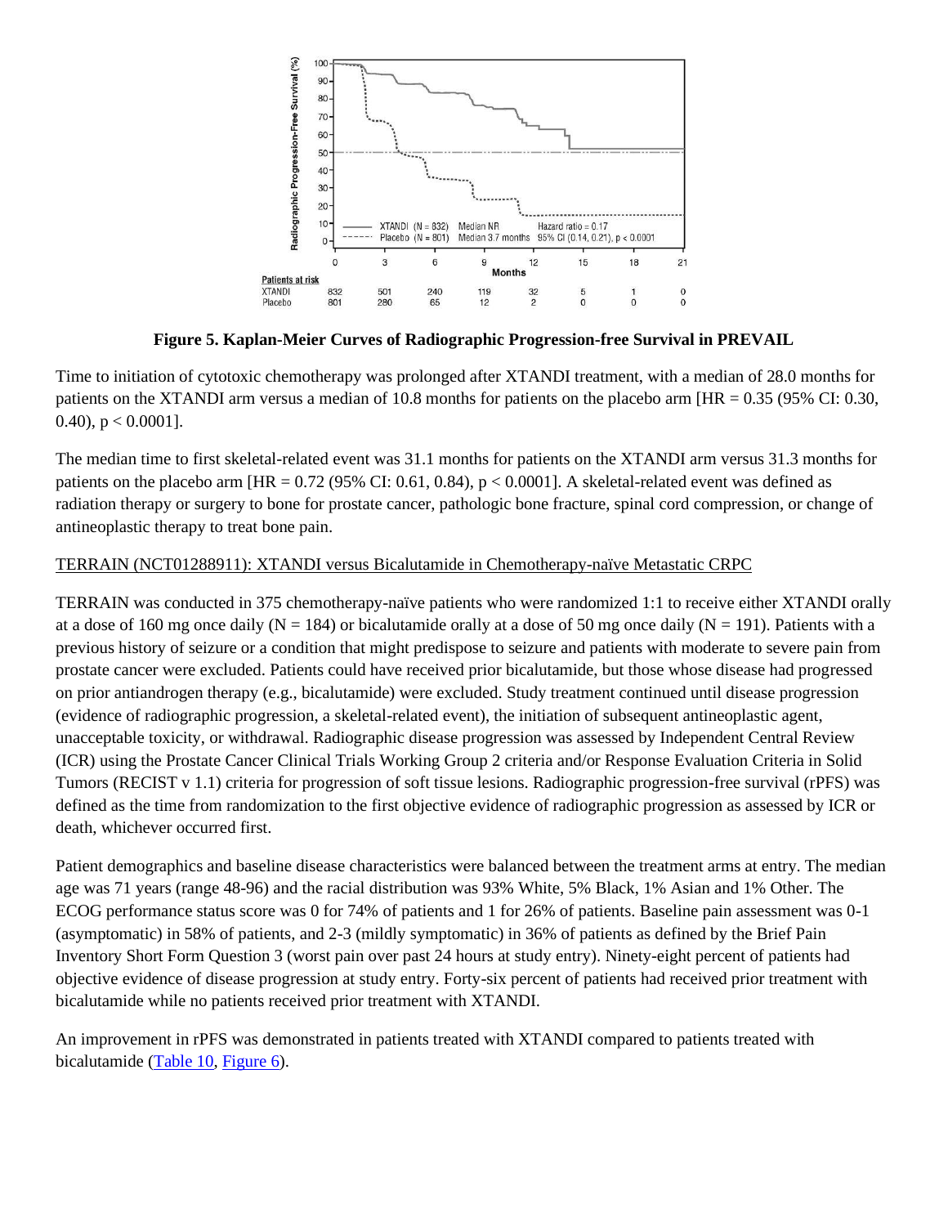

**Figure 5. Kaplan-Meier Curves of Radiographic Progression-free Survival in PREVAIL** 

<span id="page-18-0"></span>Time to initiation of cytotoxic chemotherapy was prolonged after XTANDI treatment, with a median of 28.0 months for patients on the XTANDI arm versus a median of 10.8 months for patients on the placebo arm [HR = 0.35 (95% CI: 0.30, 0.40),  $p < 0.0001$ ].

The median time to first skeletal-related event was 31.1 months for patients on the XTANDI arm versus 31.3 months for patients on the placebo arm  $[HR = 0.72 (95\% CI: 0.61, 0.84), p < 0.0001]$ . A skeletal-related event was defined as radiation therapy or surgery to bone for prostate cancer, pathologic bone fracture, spinal cord compression, or change of antineoplastic therapy to treat bone pain.

### TERRAIN (NCT01288911): XTANDI versus Bicalutamide in Chemotherapy-naïve Metastatic CRPC

TERRAIN was conducted in 375 chemotherapy-naïve patients who were randomized 1:1 to receive either XTANDI orally at a dose of 160 mg once daily ( $N = 184$ ) or bicalutamide orally at a dose of 50 mg once daily ( $N = 191$ ). Patients with a previous history of seizure or a condition that might predispose to seizure and patients with moderate to severe pain from prostate cancer were excluded. Patients could have received prior bicalutamide, but those whose disease had progressed on prior antiandrogen therapy (e.g., bicalutamide) were excluded. Study treatment continued until disease progression (evidence of radiographic progression, a skeletal-related event), the initiation of subsequent antineoplastic agent, unacceptable toxicity, or withdrawal. Radiographic disease progression was assessed by Independent Central Review (ICR) using the Prostate Cancer Clinical Trials Working Group 2 criteria and/or Response Evaluation Criteria in Solid Tumors (RECIST v 1.1) criteria for progression of soft tissue lesions. Radiographic progression-free survival (rPFS) was defined as the time from randomization to the first objective evidence of radiographic progression as assessed by ICR or death, whichever occurred first.

Patient demographics and baseline disease characteristics were balanced between the treatment arms at entry. The median age was 71 years (range 48-96) and the racial distribution was 93% White, 5% Black, 1% Asian and 1% Other. The ECOG performance status score was 0 for 74% of patients and 1 for 26% of patients. Baseline pain assessment was 0-1 (asymptomatic) in 58% of patients, and 2-3 (mildly symptomatic) in 36% of patients as defined by the Brief Pain Inventory Short Form Question 3 (worst pain over past 24 hours at study entry). Ninety-eight percent of patients had objective evidence of disease progression at study entry. Forty-six percent of patients had received prior treatment with bicalutamide while no patients received prior treatment with XTANDI.

An improvement in rPFS was demonstrated in patients treated with XTANDI compared to patients treated with bicalutamide [\(Table 10,](#page-19-0) [Figure 6\)](#page-19-1).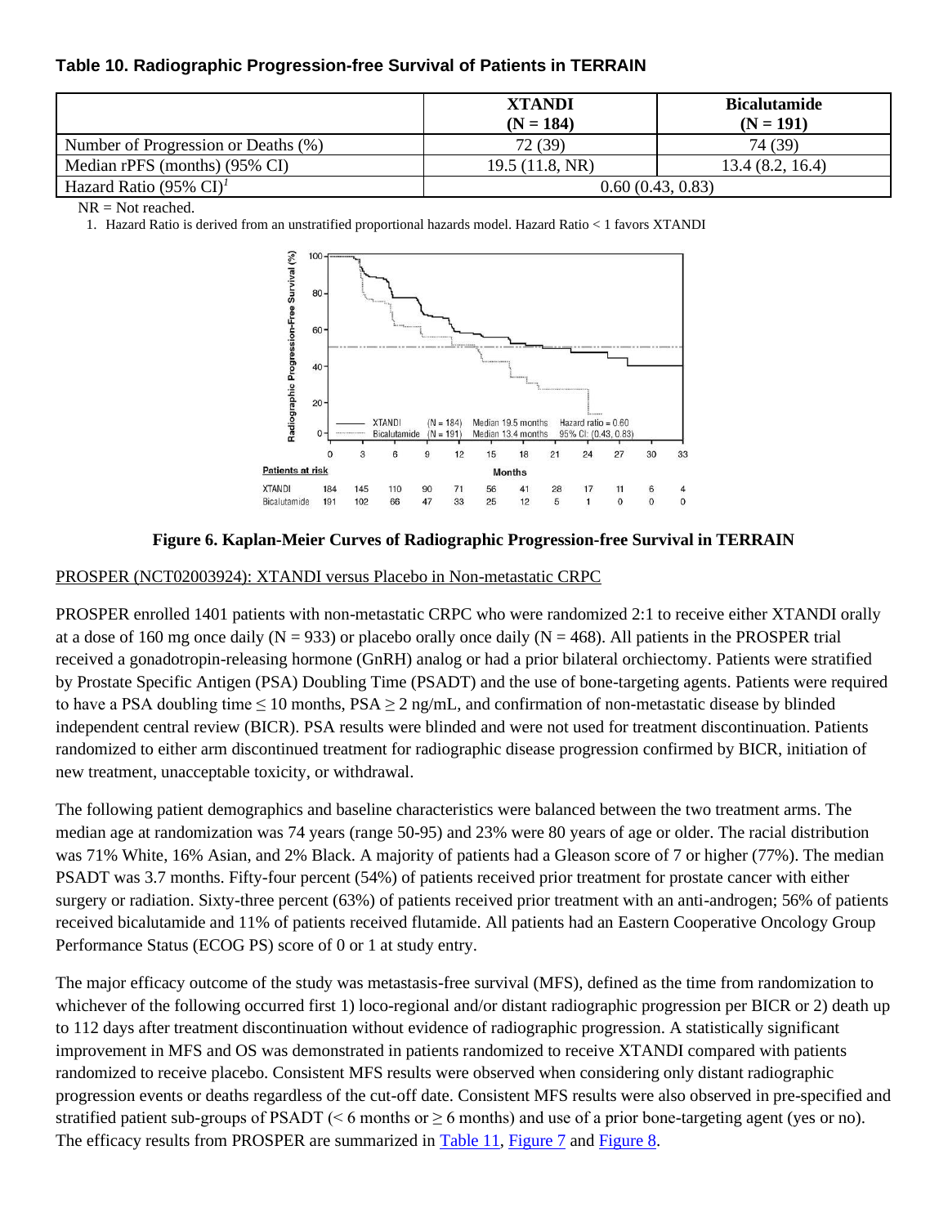### <span id="page-19-0"></span>**Table 10. Radiographic Progression-free Survival of Patients in TERRAIN**

|                                       | <b>XTANDI</b><br>$(N = 184)$ | <b>Bicalutamide</b><br>$(N = 191)$ |  |
|---------------------------------------|------------------------------|------------------------------------|--|
| Number of Progression or Deaths (%)   | 72 (39)                      | 74 (39)                            |  |
| Median rPFS (months) (95% CI)         | 19.5(11.8, NR)               | 13.4(8.2, 16.4)                    |  |
| Hazard Ratio (95% $CI$ ) <sup>1</sup> | 0.60(0.43, 0.83)             |                                    |  |

<span id="page-19-2"></span> $NR = Not reached.$ 

1. Hazard Ratio is derived from an unstratified proportional hazards model. Hazard Ratio < 1 favors XTANDI



### **Figure 6. Kaplan-Meier Curves of Radiographic Progression-free Survival in TERRAIN**

### <span id="page-19-1"></span>PROSPER (NCT02003924): XTANDI versus Placebo in Non-metastatic CRPC

PROSPER enrolled 1401 patients with non-metastatic CRPC who were randomized 2:1 to receive either XTANDI orally at a dose of 160 mg once daily ( $N = 933$ ) or placebo orally once daily ( $N = 468$ ). All patients in the PROSPER trial received a gonadotropin-releasing hormone (GnRH) analog or had a prior bilateral orchiectomy. Patients were stratified by Prostate Specific Antigen (PSA) Doubling Time (PSADT) and the use of bone-targeting agents. Patients were required to have a PSA doubling time  $\leq 10$  months, PSA  $\geq 2$  ng/mL, and confirmation of non-metastatic disease by blinded independent central review (BICR). PSA results were blinded and were not used for treatment discontinuation. Patients randomized to either arm discontinued treatment for radiographic disease progression confirmed by BICR, initiation of new treatment, unacceptable toxicity, or withdrawal.

The following patient demographics and baseline characteristics were balanced between the two treatment arms. The median age at randomization was 74 years (range 50-95) and 23% were 80 years of age or older. The racial distribution was 71% White, 16% Asian, and 2% Black. A majority of patients had a Gleason score of 7 or higher (77%). The median PSADT was 3.7 months. Fifty-four percent (54%) of patients received prior treatment for prostate cancer with either surgery or radiation. Sixty-three percent (63%) of patients received prior treatment with an anti-androgen; 56% of patients received bicalutamide and 11% of patients received flutamide. All patients had an Eastern Cooperative Oncology Group Performance Status (ECOG PS) score of 0 or 1 at study entry.

The major efficacy outcome of the study was metastasis-free survival (MFS), defined as the time from randomization to whichever of the following occurred first 1) loco-regional and/or distant radiographic progression per BICR or 2) death up to 112 days after treatment discontinuation without evidence of radiographic progression. A statistically significant improvement in MFS and OS was demonstrated in patients randomized to receive XTANDI compared with patients randomized to receive placebo. Consistent MFS results were observed when considering only distant radiographic progression events or deaths regardless of the cut-off date. Consistent MFS results were also observed in pre-specified and stratified patient sub-groups of PSADT ( $\leq 6$  months or  $\geq 6$  months) and use of a prior bone-targeting agent (yes or no). The efficacy results from PROSPER are summarized in [Table 11,](#page-20-0) [Figure 7](#page-20-1) an[d Figure 8.](#page-20-2)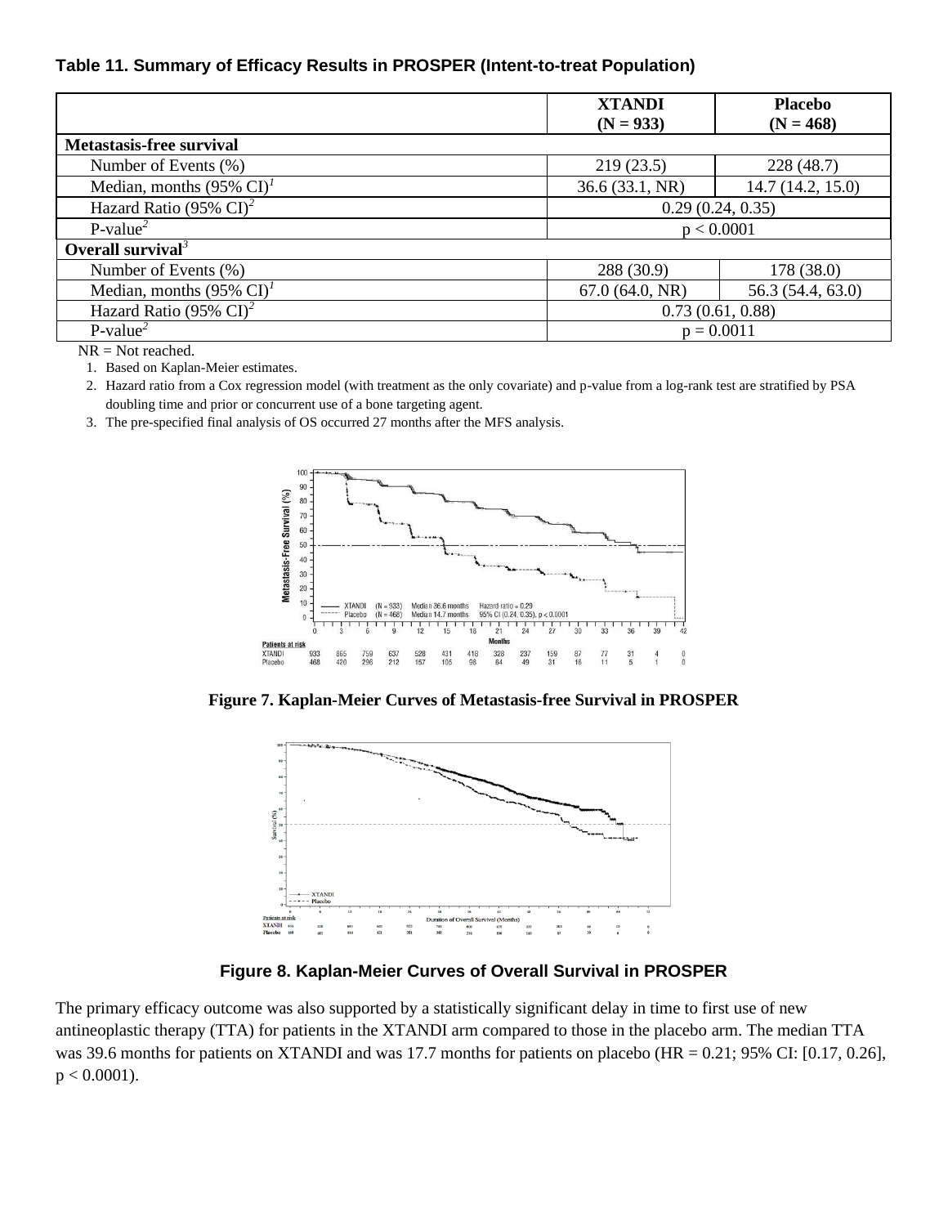### <span id="page-20-0"></span>**Table 11. Summary of Efficacy Results in PROSPER (Intent-to-treat Population)**

|                                       | <b>XTANDI</b>    | <b>Placebo</b>    |
|---------------------------------------|------------------|-------------------|
|                                       | $(N = 933)$      | $(N = 468)$       |
| <b>Metastasis-free survival</b>       |                  |                   |
| Number of Events (%)                  | 219(23.5)        | 228 (48.7)        |
| Median, months $(95\% \text{ CI})^T$  | 36.6 (33.1, NR)  | 14.7 (14.2, 15.0) |
| Hazard Ratio (95% $CI$ ) <sup>2</sup> | 0.29(0.24, 0.35) |                   |
| $P-value2$                            | p < 0.0001       |                   |
| Overall survival <sup>3</sup>         |                  |                   |
| Number of Events (%)                  | 288 (30.9)       | 178 (38.0)        |
| Median, months $(95\% \text{ CI})^T$  | 67.0(64.0, NR)   | 56.3 (54.4, 63.0) |
| Hazard Ratio (95% $CI$ ) <sup>2</sup> | 0.73(0.61, 0.88) |                   |
| $P-value2$                            | $p = 0.0011$     |                   |

<span id="page-20-3"></span>NR = Not reached.

1. Based on Kaplan-Meier estimates.

<span id="page-20-4"></span>2. Hazard ratio from a Cox regression model (with treatment as the only covariate) and p-value from a log-rank test are stratified by PSA doubling time and prior or concurrent use of a bone targeting agent.

<span id="page-20-5"></span>3. The pre-specified final analysis of OS occurred 27 months after the MFS analysis.



<span id="page-20-1"></span>**Figure 7. Kaplan-Meier Curves of Metastasis-free Survival in PROSPER** 



**Figure 8. Kaplan-Meier Curves of Overall Survival in PROSPER**

<span id="page-20-2"></span>The primary efficacy outcome was also supported by a statistically significant delay in time to first use of new antineoplastic therapy (TTA) for patients in the XTANDI arm compared to those in the placebo arm. The median TTA was 39.6 months for patients on XTANDI and was 17.7 months for patients on placebo (HR = 0.21; 95% CI: [0.17, 0.26],  $p < 0.0001$ ).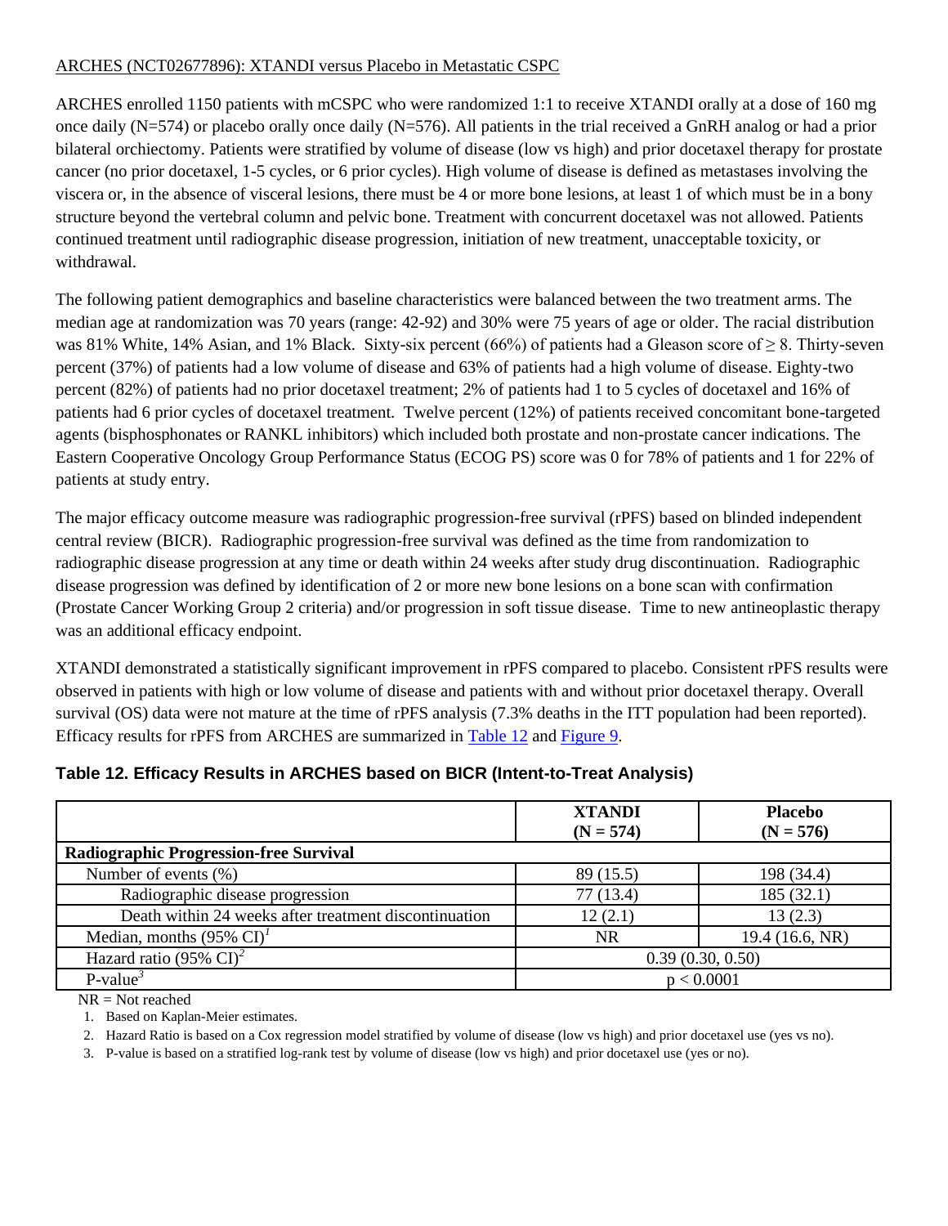### ARCHES (NCT02677896): XTANDI versus Placebo in Metastatic CSPC

ARCHES enrolled 1150 patients with mCSPC who were randomized 1:1 to receive XTANDI orally at a dose of 160 mg once daily (N=574) or placebo orally once daily (N=576). All patients in the trial received a GnRH analog or had a prior bilateral orchiectomy. Patients were stratified by volume of disease (low vs high) and prior docetaxel therapy for prostate cancer (no prior docetaxel, 1-5 cycles, or 6 prior cycles). High volume of disease is defined as metastases involving the viscera or, in the absence of visceral lesions, there must be 4 or more bone lesions, at least 1 of which must be in a bony structure beyond the vertebral column and pelvic bone. Treatment with concurrent docetaxel was not allowed. Patients continued treatment until radiographic disease progression, initiation of new treatment, unacceptable toxicity, or withdrawal.

The following patient demographics and baseline characteristics were balanced between the two treatment arms. The median age at randomization was 70 years (range: 42-92) and 30% were 75 years of age or older. The racial distribution was 81% White, 14% Asian, and 1% Black. Sixty-six percent (66%) of patients had a Gleason score of  $\geq 8$ . Thirty-seven percent (37%) of patients had a low volume of disease and 63% of patients had a high volume of disease. Eighty-two percent (82%) of patients had no prior docetaxel treatment; 2% of patients had 1 to 5 cycles of docetaxel and 16% of patients had 6 prior cycles of docetaxel treatment. Twelve percent (12%) of patients received concomitant bone-targeted agents (bisphosphonates or RANKL inhibitors) which included both prostate and non-prostate cancer indications. The Eastern Cooperative Oncology Group Performance Status (ECOG PS) score was 0 for 78% of patients and 1 for 22% of patients at study entry.

The major efficacy outcome measure was radiographic progression-free survival (rPFS) based on blinded independent central review (BICR). Radiographic progression-free survival was defined as the time from randomization to radiographic disease progression at any time or death within 24 weeks after study drug discontinuation. Radiographic disease progression was defined by identification of 2 or more new bone lesions on a bone scan with confirmation (Prostate Cancer Working Group 2 criteria) and/or progression in soft tissue disease. Time to new antineoplastic therapy was an additional efficacy endpoint.

XTANDI demonstrated a statistically significant improvement in rPFS compared to placebo. Consistent rPFS results were observed in patients with high or low volume of disease and patients with and without prior docetaxel therapy. Overall survival (OS) data were not mature at the time of rPFS analysis (7.3% deaths in the ITT population had been reported). Efficacy results for rPFS from ARCHES are summarized in [Table 12](#page-21-0) and [Figure 9.](#page-22-2)

|                                                       | <b>XTANDI</b><br>$(N = 574)$ | <b>Placebo</b><br>$(N = 576)$ |
|-------------------------------------------------------|------------------------------|-------------------------------|
| <b>Radiographic Progression-free Survival</b>         |                              |                               |
| Number of events $(\%)$                               | 89 (15.5)                    | 198 (34.4)                    |
| Radiographic disease progression                      | 77 (13.4)                    | 185(32.1)                     |
| Death within 24 weeks after treatment discontinuation | 12(2.1)                      | 13(2.3)                       |
| Median, months $(95\% \text{ CI})^T$                  | <b>NR</b>                    | 19.4 (16.6, NR)               |
| Hazard ratio (95% $CI$ ) <sup>2</sup>                 | 0.39(0.30, 0.50)             |                               |
| $P-value3$                                            | p < 0.0001                   |                               |

### <span id="page-21-0"></span>**Table 12. Efficacy Results in ARCHES based on BICR (Intent-to-Treat Analysis)**

<span id="page-21-1"></span>NR = Not reached

1. Based on Kaplan-Meier estimates.

<span id="page-21-2"></span>2. Hazard Ratio is based on a Cox regression model stratified by volume of disease (low vs high) and prior docetaxel use (yes vs no).

<span id="page-21-3"></span>3. P-value is based on a stratified log-rank test by volume of disease (low vs high) and prior docetaxel use (yes or no).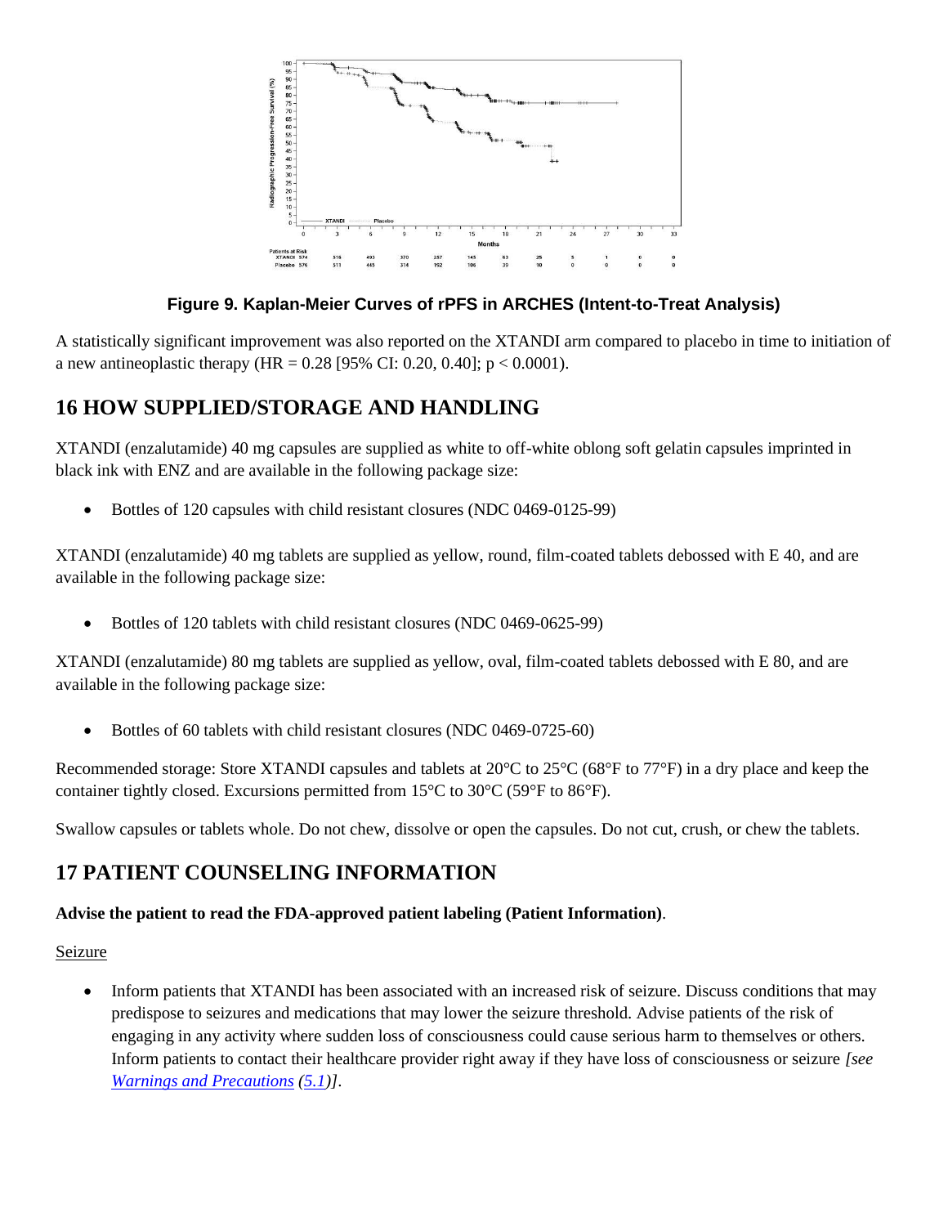

## **Figure 9. Kaplan-Meier Curves of rPFS in ARCHES (Intent-to-Treat Analysis)**

<span id="page-22-2"></span>A statistically significant improvement was also reported on the XTANDI arm compared to placebo in time to initiation of a new antineoplastic therapy (HR =  $0.28$  [95% CI: 0.20, 0.40]; p < 0.0001).

# <span id="page-22-0"></span>**16 HOW SUPPLIED/STORAGE AND HANDLING**

XTANDI (enzalutamide) 40 mg capsules are supplied as white to off-white oblong soft gelatin capsules imprinted in black ink with ENZ and are available in the following package size:

• Bottles of 120 capsules with child resistant closures (NDC 0469-0125-99)

XTANDI (enzalutamide) 40 mg tablets are supplied as yellow, round, film-coated tablets debossed with E 40, and are available in the following package size:

• Bottles of 120 tablets with child resistant closures (NDC 0469-0625-99)

XTANDI (enzalutamide) 80 mg tablets are supplied as yellow, oval, film-coated tablets debossed with E 80, and are available in the following package size:

• Bottles of 60 tablets with child resistant closures (NDC 0469-0725-60)

Recommended storage: Store XTANDI capsules and tablets at 20°C to 25°C (68°F to 77°F) in a dry place and keep the container tightly closed. Excursions permitted from 15°C to 30°C (59°F to 86°F).

Swallow capsules or tablets whole. Do not chew, dissolve or open the capsules. Do not cut, crush, or chew the tablets.

# <span id="page-22-1"></span>**17 PATIENT COUNSELING INFORMATION**

### **Advise the patient to read the FDA-approved patient labeling (Patient Information)**.

### Seizure

• Inform patients that XTANDI has been associated with an increased risk of seizure. Discuss conditions that may predispose to seizures and medications that may lower the seizure threshold. Advise patients of the risk of engaging in any activity where sudden loss of consciousness could cause serious harm to themselves or others. Inform patients to contact their healthcare provider right away if they have loss of consciousness or seizure *[see [Warnings and Precautions](#page-2-5) [\(5.1\)](#page-2-0)]*.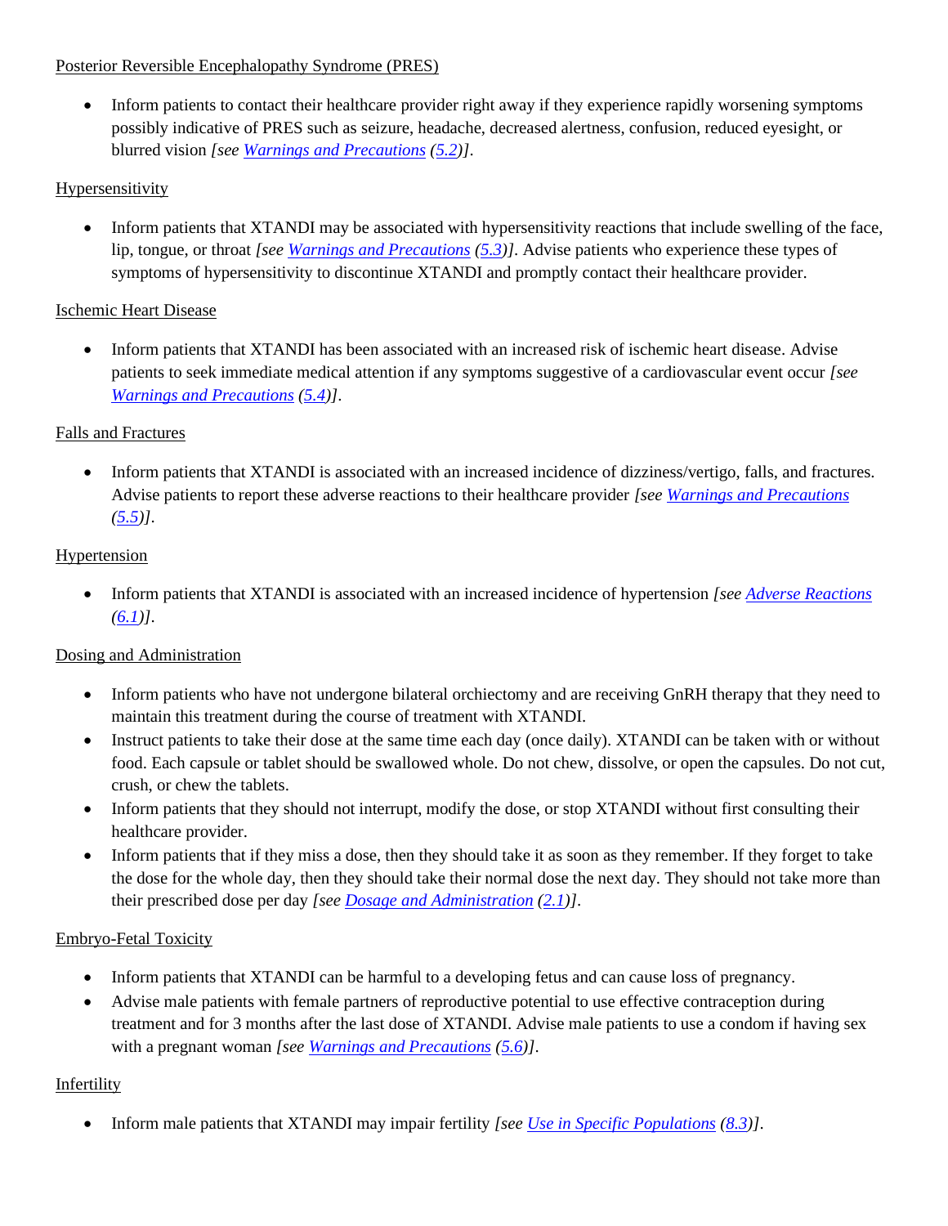### Posterior Reversible Encephalopathy Syndrome (PRES)

• Inform patients to contact their healthcare provider right away if they experience rapidly worsening symptoms possibly indicative of PRES such as seizure, headache, decreased alertness, confusion, reduced eyesight, or blurred vision *[see [Warnings and Precautions](#page-2-5) [\(5.2\)](#page-2-1)]*.

# Hypersensitivity

• Inform patients that XTANDI may be associated with hypersensitivity reactions that include swelling of the face, lip, tongue, or throat *[see [Warnings and Precautions](#page-2-5) [\(5.3\)](#page-2-2)]*. Advise patients who experience these types of symptoms of hypersensitivity to discontinue XTANDI and promptly contact their healthcare provider.

## Ischemic Heart Disease

• Inform patients that XTANDI has been associated with an increased risk of ischemic heart disease. Advise patients to seek immediate medical attention if any symptoms suggestive of a cardiovascular event occur *[see [Warnings and Precautions](#page-2-5) [\(5.4\)](#page-2-3)]*.

# Falls and Fractures

• Inform patients that XTANDI is associated with an increased incidence of dizziness/vertigo, falls, and fractures. Advise patients to report these adverse reactions to their healthcare provider *[se[e Warnings and Precautions](#page-2-5)*  $(5.5)$ ].

# Hypertension

• Inform patients that XTANDI is associated with an increased incidence of hypertension *[se[e Adverse Reactions](#page-3-2) [\(6.1\)](#page-3-1)]*.

# Dosing and Administration

- Inform patients who have not undergone bilateral orchiectomy and are receiving GnRH therapy that they need to maintain this treatment during the course of treatment with XTANDI.
- Instruct patients to take their dose at the same time each day (once daily). XTANDI can be taken with or without food. Each capsule or tablet should be swallowed whole. Do not chew, dissolve, or open the capsules. Do not cut, crush, or chew the tablets.
- Inform patients that they should not interrupt, modify the dose, or stop XTANDI without first consulting their healthcare provider.
- Inform patients that if they miss a dose, then they should take it as soon as they remember. If they forget to take the dose for the whole day, then they should take their normal dose the next day. They should not take more than their prescribed dose per day *[see [Dosage and Administration](#page-1-6) [\(2.1\)](#page-1-1)]*.

## Embryo-Fetal Toxicity

- Inform patients that XTANDI can be harmful to a developing fetus and can cause loss of pregnancy.
- Advise male patients with female partners of reproductive potential to use effective contraception during treatment and for 3 months after the last dose of XTANDI. Advise male patients to use a condom if having sex with a pregnant woman *[see [Warnings and Precautions](#page-2-5) [\(5.6\)](#page-3-0)]*.

## Infertility

• Inform male patients that XTANDI may impair fertility *[see [Use in Specific Populations](#page-10-2) [\(8.3\)](#page-11-0)]*.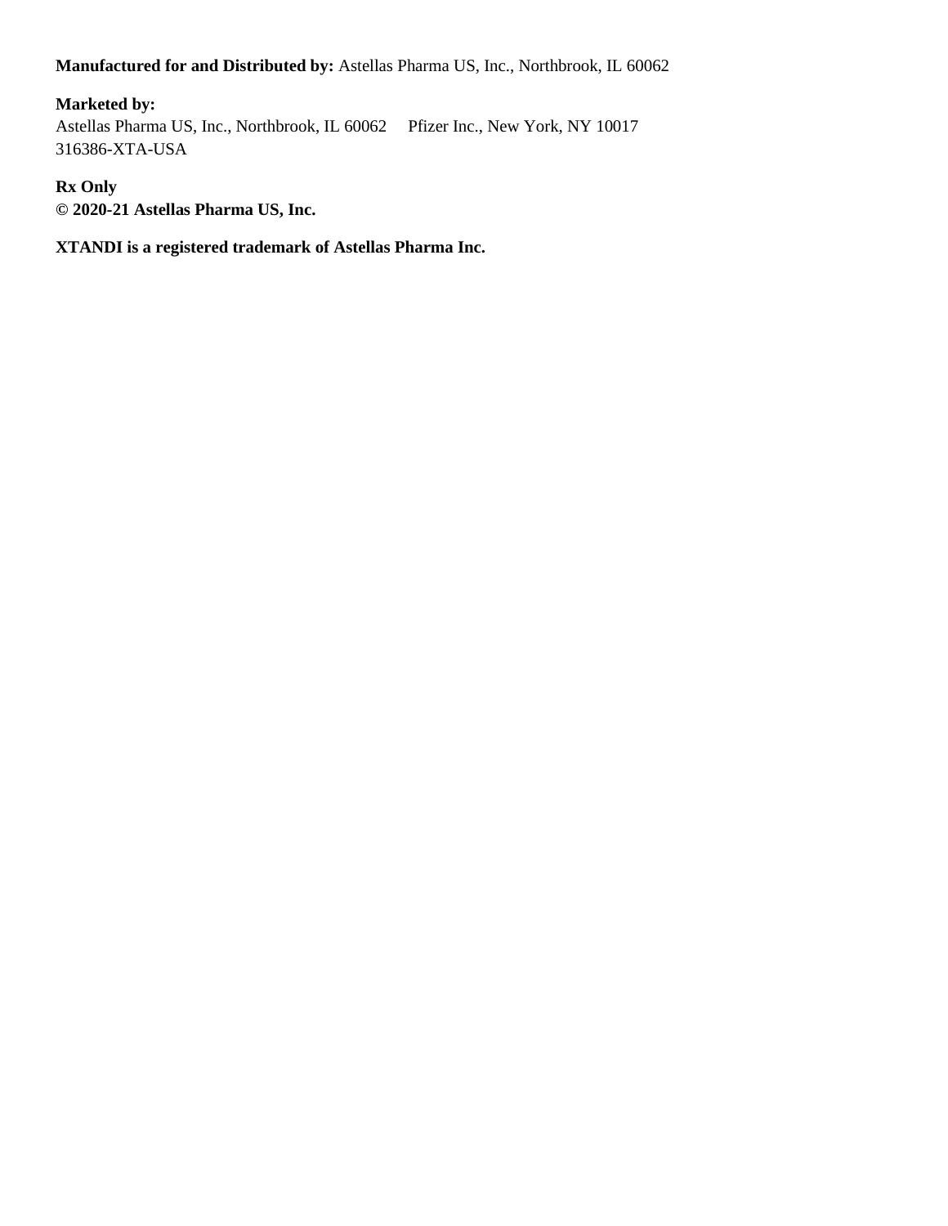### **Manufactured for and Distributed by:** Astellas Pharma US, Inc., Northbrook, IL 60062

## **Marketed by:**

Astellas Pharma US, Inc., Northbrook, IL 60062 Pfizer Inc., New York, NY 10017 316386-XTA-USA

### **Rx Only**

**© 2020-21 Astellas Pharma US, Inc.**

### **XTANDI is a registered trademark of Astellas Pharma Inc.**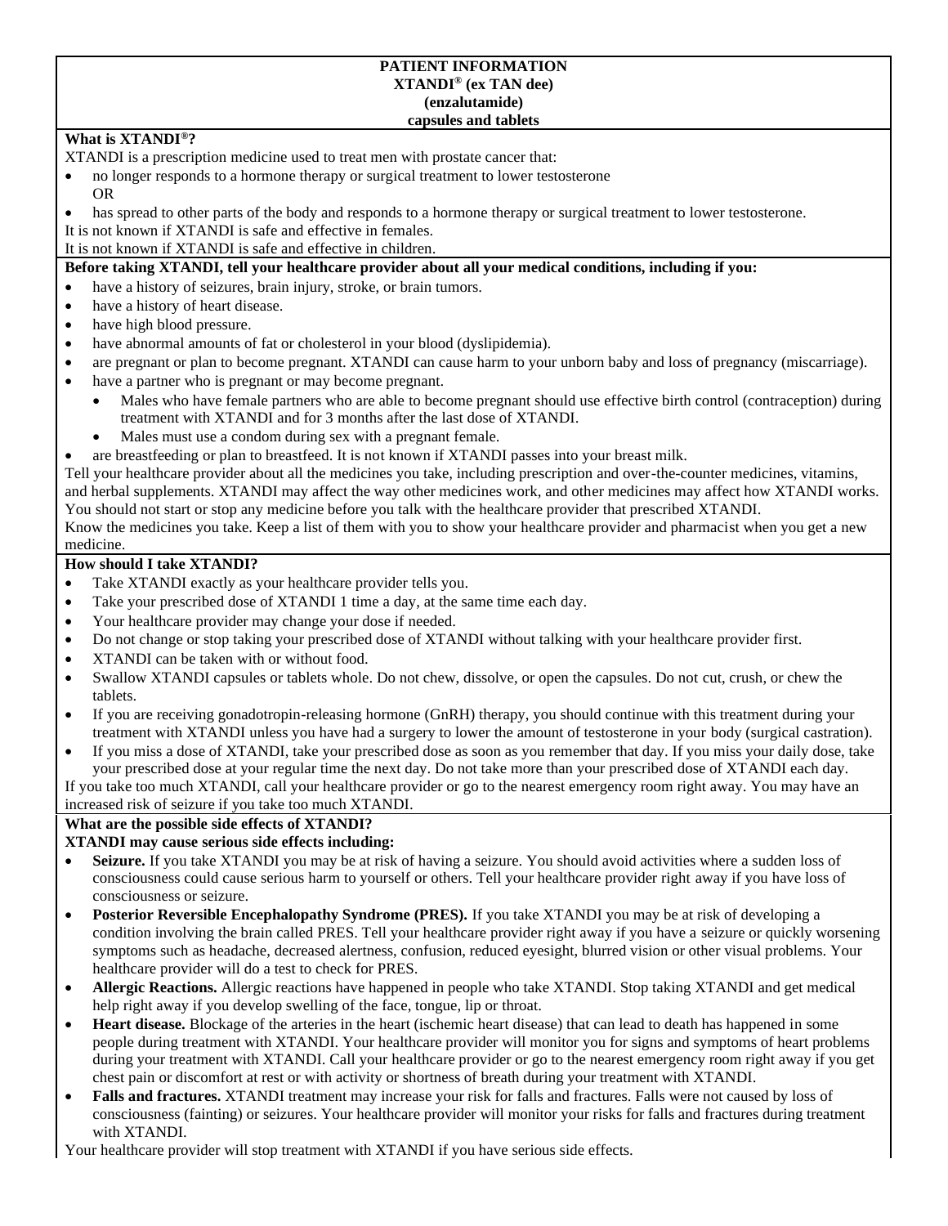#### **PATIENT INFORMATION XTANDI® (ex TAN dee) (enzalutamide) capsules and tablets**

### **What is XTANDI®?**

XTANDI is a prescription medicine used to treat men with prostate cancer that:

- no longer responds to a hormone therapy or surgical treatment to lower testosterone OR
- has spread to other parts of the body and responds to a hormone therapy or surgical treatment to lower testosterone.

It is not known if XTANDI is safe and effective in females.

It is not known if XTANDI is safe and effective in children.

### **Before taking XTANDI, tell your healthcare provider about all your medical conditions, including if you:**

- have a history of seizures, brain injury, stroke, or brain tumors.
- have a history of heart disease.
- have high blood pressure.
- have abnormal amounts of fat or cholesterol in your blood (dyslipidemia).
- are pregnant or plan to become pregnant. XTANDI can cause harm to your unborn baby and loss of pregnancy (miscarriage).
- have a partner who is pregnant or may become pregnant.
	- Males who have female partners who are able to become pregnant should use effective birth control (contraception) during treatment with XTANDI and for 3 months after the last dose of XTANDI.
	- Males must use a condom during sex with a pregnant female.
- are breastfeeding or plan to breastfeed. It is not known if XTANDI passes into your breast milk.

Tell your healthcare provider about all the medicines you take, including prescription and over-the-counter medicines, vitamins, and herbal supplements. XTANDI may affect the way other medicines work, and other medicines may affect how XTANDI works. You should not start or stop any medicine before you talk with the healthcare provider that prescribed XTANDI.

Know the medicines you take. Keep a list of them with you to show your healthcare provider and pharmacist when you get a new medicine.

### **How should I take XTANDI?**

- Take XTANDI exactly as your healthcare provider tells you.
- Take your prescribed dose of XTANDI 1 time a day, at the same time each day.
- Your healthcare provider may change your dose if needed.
- Do not change or stop taking your prescribed dose of XTANDI without talking with your healthcare provider first.
- XTANDI can be taken with or without food.
- Swallow XTANDI capsules or tablets whole. Do not chew, dissolve, or open the capsules. Do not cut, crush, or chew the tablets.
- If you are receiving gonadotropin-releasing hormone (GnRH) therapy, you should continue with this treatment during your treatment with XTANDI unless you have had a surgery to lower the amount of testosterone in your body (surgical castration).
- If you miss a dose of XTANDI, take your prescribed dose as soon as you remember that day. If you miss your daily dose, take your prescribed dose at your regular time the next day. Do not take more than your prescribed dose of XTANDI each day.

If you take too much XTANDI, call your healthcare provider or go to the nearest emergency room right away. You may have an increased risk of seizure if you take too much XTANDI.

### **What are the possible side effects of XTANDI?**

### **XTANDI may cause serious side effects including:**

- **Seizure.** If you take XTANDI you may be at risk of having a seizure. You should avoid activities where a sudden loss of consciousness could cause serious harm to yourself or others. Tell your healthcare provider right away if you have loss of consciousness or seizure.
- **Posterior Reversible Encephalopathy Syndrome (PRES).** If you take XTANDI you may be at risk of developing a condition involving the brain called PRES. Tell your healthcare provider right away if you have a seizure or quickly worsening symptoms such as headache, decreased alertness, confusion, reduced eyesight, blurred vision or other visual problems. Your healthcare provider will do a test to check for PRES.
- **Allergic Reactions.** Allergic reactions have happened in people who take XTANDI. Stop taking XTANDI and get medical help right away if you develop swelling of the face, tongue, lip or throat.
- **Heart disease.** Blockage of the arteries in the heart (ischemic heart disease) that can lead to death has happened in some people during treatment with XTANDI. Your healthcare provider will monitor you for signs and symptoms of heart problems during your treatment with XTANDI. Call your healthcare provider or go to the nearest emergency room right away if you get chest pain or discomfort at rest or with activity or shortness of breath during your treatment with XTANDI.
- **Falls and fractures.** XTANDI treatment may increase your risk for falls and fractures. Falls were not caused by loss of consciousness (fainting) or seizures. Your healthcare provider will monitor your risks for falls and fractures during treatment with XTANDI.

Your healthcare provider will stop treatment with XTANDI if you have serious side effects.